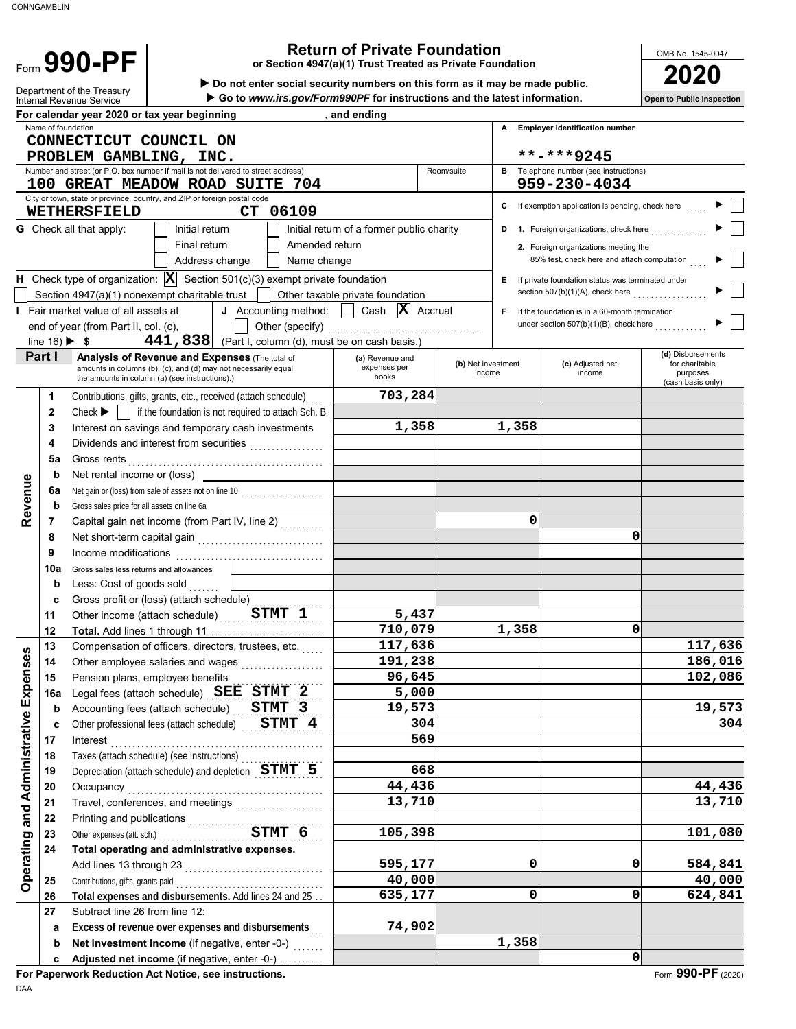Form 990-PF

# **990 - PF**<br> **1990 - PF**<br> **1990 - PF**<br> **1990 - PF**<br> **1990 - PF**<br> **1990 - PF**<br> **1990 - PF**<br> **1990 - PF**<br> **1990 - PF**<br> **1990 - PF**<br> **1990 - PF**<br> **1990 - PF**<br> **1990 - PF**<br> **1990 - PF**<br> **1990 - PF**<br> **1990 - PF**<br> **1990 - PF**<br> **1**

**or Section 4947(a)(1) Trust Treated as Private Foundation**

OMB No. 1545-0047

 **Do not enter social security numbers on this form as it may be made public.**

|                                    |                    | Department of the Treasury<br>Internal Revenue Service                                                                  |                                                     | Go to www.irs.gov/Form990PF for instructions and the latest information.  |            |                    |                                                              | <b>Open to Public Inspection</b>    |
|------------------------------------|--------------------|-------------------------------------------------------------------------------------------------------------------------|-----------------------------------------------------|---------------------------------------------------------------------------|------------|--------------------|--------------------------------------------------------------|-------------------------------------|
|                                    |                    | For calendar year 2020 or tax year beginning                                                                            |                                                     | , and ending                                                              |            |                    |                                                              |                                     |
|                                    | Name of foundation |                                                                                                                         |                                                     |                                                                           |            |                    | A Employer identification number                             |                                     |
|                                    |                    | CONNECTICUT COUNCIL ON                                                                                                  |                                                     |                                                                           |            |                    |                                                              |                                     |
|                                    |                    | PROBLEM GAMBLING, INC.                                                                                                  |                                                     |                                                                           |            |                    | **-***9245                                                   |                                     |
|                                    |                    | Number and street (or P.O. box number if mail is not delivered to street address)<br>100 GREAT MEADOW ROAD SUITE 704    |                                                     |                                                                           | Room/suite |                    | <b>B</b> Telephone number (see instructions)<br>959-230-4034 |                                     |
|                                    |                    | City or town, state or province, country, and ZIP or foreign postal code                                                |                                                     |                                                                           |            |                    |                                                              |                                     |
|                                    |                    | CT 06109<br><b>WETHERSFIELD</b>                                                                                         |                                                     |                                                                           |            |                    | C If exemption application is pending, check here            |                                     |
|                                    |                    | <b>G</b> Check all that apply:<br>Initial return                                                                        |                                                     | Initial return of a former public charity                                 |            |                    | <b>D</b> 1. Foreign organizations, check here                |                                     |
|                                    |                    | Final return                                                                                                            | Amended return                                      |                                                                           |            |                    | 2. Foreign organizations meeting the                         |                                     |
|                                    |                    | Address change                                                                                                          | Name change                                         |                                                                           |            |                    | 85% test, check here and attach computation                  |                                     |
|                                    |                    | <b>H</b> Check type of organization: $ \mathbf{X} $ Section 501(c)(3) exempt private foundation                         |                                                     |                                                                           |            |                    | E If private foundation status was terminated under          |                                     |
|                                    |                    | Section 4947(a)(1) nonexempt charitable trust                                                                           |                                                     | Other taxable private foundation                                          |            |                    | section 507(b)(1)(A), check here                             |                                     |
|                                    |                    | I Fair market value of all assets at                                                                                    |                                                     | <b>J</b> Accounting method: $\vert$ Cash $\vert \mathbf{X} \vert$ Accrual |            | F.                 | If the foundation is in a 60-month termination               |                                     |
|                                    |                    | end of year (from Part II, col. (c),                                                                                    |                                                     |                                                                           |            |                    | under section 507(b)(1)(B), check here                       |                                     |
|                                    |                    | 441, 838 (Part I, column (d), must be on cash basis.)<br>line $16$ ) $\blacktriangleright$ \$                           |                                                     |                                                                           |            |                    |                                                              |                                     |
|                                    | Part I             | <b>Analysis of Revenue and Expenses (The total of</b><br>amounts in columns (b), (c), and (d) may not necessarily equal |                                                     | (a) Revenue and<br>expenses per                                           |            | (b) Net investment | (c) Adjusted net                                             | (d) Disbursements<br>for charitable |
|                                    |                    | the amounts in column (a) (see instructions).)                                                                          |                                                     | books                                                                     |            | income             | income                                                       | purposes<br>(cash basis only)       |
|                                    | 1                  | Contributions, gifts, grants, etc., received (attach schedule)                                                          |                                                     | 703,284                                                                   |            |                    |                                                              |                                     |
|                                    | $\mathbf{2}$       | Check $\blacktriangleright$ $\parallel$ if the foundation is not required to attach Sch. B                              |                                                     |                                                                           |            |                    |                                                              |                                     |
|                                    | 3                  | Interest on savings and temporary cash investments                                                                      |                                                     | 1,358                                                                     |            | 1,358              |                                                              |                                     |
|                                    | 4                  | Dividends and interest from securities                                                                                  | <u> 1966 - Johann Stoff, Amerikaansk kanton en </u> |                                                                           |            |                    |                                                              |                                     |
|                                    | 5a                 | Gross rents                                                                                                             |                                                     |                                                                           |            |                    |                                                              |                                     |
|                                    | b                  | Net rental income or (loss)                                                                                             |                                                     |                                                                           |            |                    |                                                              |                                     |
|                                    | 6a                 |                                                                                                                         |                                                     |                                                                           |            |                    |                                                              |                                     |
| Revenue                            | b                  | Gross sales price for all assets on line 6a                                                                             |                                                     |                                                                           |            | 0                  |                                                              |                                     |
|                                    | 7                  | Capital gain net income (from Part IV, line 2)                                                                          |                                                     |                                                                           |            |                    | 0                                                            |                                     |
|                                    | 8<br>9             | Income modifications                                                                                                    |                                                     |                                                                           |            |                    |                                                              |                                     |
|                                    | 10a                | Gross sales less returns and allowances                                                                                 |                                                     |                                                                           |            |                    |                                                              |                                     |
|                                    | b                  | Less: Cost of goods sold                                                                                                |                                                     |                                                                           |            |                    |                                                              |                                     |
|                                    | c                  | Gross profit or (loss) (attach schedule)                                                                                |                                                     |                                                                           |            |                    |                                                              |                                     |
|                                    | 11                 | Other income (attach schedule) STMT 1                                                                                   |                                                     | 5,437                                                                     |            |                    |                                                              |                                     |
|                                    | 12                 |                                                                                                                         |                                                     | 710,079                                                                   |            | 1,358              | 0                                                            |                                     |
|                                    | 13                 | Compensation of officers, directors, trustees, etc.                                                                     |                                                     | 117,636                                                                   |            |                    |                                                              | 117,636                             |
| ses                                | 14                 | Other employee salaries and wages                                                                                       |                                                     | 191,238                                                                   |            |                    |                                                              | 186,016                             |
|                                    | 15                 | Pension plans, employee benefits                                                                                        |                                                     | 96,645                                                                    |            |                    |                                                              | 102,086                             |
|                                    | 16a                | Legal fees (attach schedule) SEE STMT 2                                                                                 |                                                     | 5,000                                                                     |            |                    |                                                              |                                     |
| Operating and Administrative Expen | b                  | Accounting fees (attach schedule)                                                                                       | STMT 3                                              | 19,573                                                                    |            |                    |                                                              | 19,573                              |
|                                    | c                  | Other professional fees (attach schedule)                                                                               | STMT 4                                              | 304                                                                       |            |                    |                                                              | 304                                 |
|                                    | 17                 | Interest                                                                                                                |                                                     | 569                                                                       |            |                    |                                                              |                                     |
|                                    | 18                 | Taxes (attach schedule) (see instructions)                                                                              |                                                     | 668                                                                       |            |                    |                                                              |                                     |
|                                    | 19                 | Depreciation (attach schedule) and depletion $STMT$ 5                                                                   |                                                     | 44,436                                                                    |            |                    |                                                              | 44,436                              |
|                                    | 20<br>21           | Occupancy                                                                                                               |                                                     | 13,710                                                                    |            |                    |                                                              | 13,710                              |
|                                    | 22                 |                                                                                                                         |                                                     |                                                                           |            |                    |                                                              |                                     |
|                                    | 23                 | Printing and publications<br>Other expenses (att. sch.)<br>STMT 6                                                       |                                                     | 105,398                                                                   |            |                    |                                                              | 101,080                             |
|                                    | 24                 | Total operating and administrative expenses.                                                                            |                                                     |                                                                           |            |                    |                                                              |                                     |
|                                    |                    |                                                                                                                         |                                                     | 595,177                                                                   |            | 0                  | 0                                                            | 584,841                             |
|                                    | 25                 | Contributions, gifts, grants paid                                                                                       |                                                     | 40,000                                                                    |            |                    |                                                              | 40,000                              |
|                                    | 26                 | Total expenses and disbursements. Add lines 24 and 25                                                                   |                                                     | 635,177                                                                   |            | 0                  | $\mathbf 0$                                                  | 624,841                             |
|                                    | 27                 | Subtract line 26 from line 12:                                                                                          |                                                     |                                                                           |            |                    |                                                              |                                     |
|                                    | a                  | Excess of revenue over expenses and disbursements                                                                       |                                                     | 74,902                                                                    |            |                    |                                                              |                                     |
|                                    | b                  | Net investment income (if negative, enter -0-)                                                                          |                                                     |                                                                           |            | 1,358              |                                                              |                                     |
|                                    | c                  | Adjusted net income (if negative, enter -0-)                                                                            |                                                     |                                                                           |            |                    | $\mathbf 0$                                                  |                                     |

**For Paperwork Reduction Act Notice, see instructions.**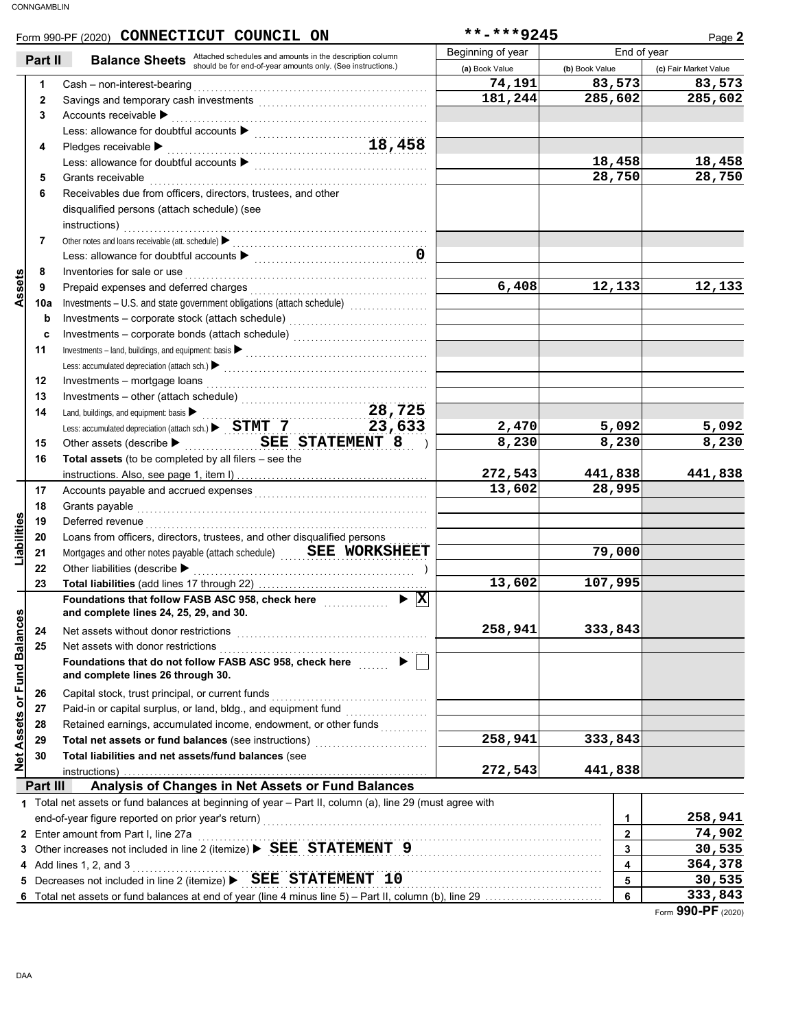|                                | Form 990-PF (2020) CONNECTICUT COUNCIL ON                                                                                                                                                                                                                                                                                                                                         | **-***9245        |                | Page 2                |
|--------------------------------|-----------------------------------------------------------------------------------------------------------------------------------------------------------------------------------------------------------------------------------------------------------------------------------------------------------------------------------------------------------------------------------|-------------------|----------------|-----------------------|
| Part II                        |                                                                                                                                                                                                                                                                                                                                                                                   | Beginning of year | End of year    |                       |
|                                | <b>Balance Sheets</b> Attached schedules and amounts in the description column<br>should be for end-of-year amounts only. (See instructions.)                                                                                                                                                                                                                                     | (a) Book Value    | (b) Book Value | (c) Fair Market Value |
| 1                              | Cash - non-interest-bearing                                                                                                                                                                                                                                                                                                                                                       | 74,191            | 83,573         | 83,573                |
| $\mathbf{2}$                   | Savings and temporary cash investments [11] [11] continuum contract the same state of the same state of the same state of the state of the state of the state of the state of the state of the state of the state of the state                                                                                                                                                    | 181,244           | 285,602        | 285,602               |
| 3                              | Accounts receivable $\blacktriangleright$                                                                                                                                                                                                                                                                                                                                         |                   |                |                       |
|                                | Less: allowance for doubtful accounts<br>18,458                                                                                                                                                                                                                                                                                                                                   |                   |                |                       |
| 4                              | Pledges receivable $\blacktriangleright$                                                                                                                                                                                                                                                                                                                                          |                   |                |                       |
|                                | Less: allowance for doubtful accounts<br>$\begin{array}{ccc}\n&\quad \  \  \, &\quad \  \  \, &\quad \  \  \, &\quad \  \  \, &\quad \  \  \, &\quad \  \  \, &\quad \  \  \, &\quad \  \  \, &\quad \  \  \, &\quad \  \  \, &\quad \  \  \, &\quad \  \  \, &\quad \  \  \, &\quad \  \  \, &\quad \  \  \, &\quad \  \  \, &\quad \  \  \, &\quad \  \  \, &\quad \  \  \, &\$ |                   | 18,458         | 18,458                |
| 5                              | Grants receivable                                                                                                                                                                                                                                                                                                                                                                 |                   | 28,750         | 28,750                |
| 6                              | Receivables due from officers, directors, trustees, and other                                                                                                                                                                                                                                                                                                                     |                   |                |                       |
|                                | disqualified persons (attach schedule) (see                                                                                                                                                                                                                                                                                                                                       |                   |                |                       |
|                                | instructions)                                                                                                                                                                                                                                                                                                                                                                     |                   |                |                       |
| 7                              | Other notes and loans receivable (att. schedule)                                                                                                                                                                                                                                                                                                                                  |                   |                |                       |
|                                |                                                                                                                                                                                                                                                                                                                                                                                   |                   |                |                       |
| 8                              | Inventories for sale or use                                                                                                                                                                                                                                                                                                                                                       |                   |                |                       |
| Assets<br>9                    | Prepaid expenses and deferred charges                                                                                                                                                                                                                                                                                                                                             | 6,408             | 12,133         | 12,133                |
| 10a                            |                                                                                                                                                                                                                                                                                                                                                                                   |                   |                |                       |
|                                |                                                                                                                                                                                                                                                                                                                                                                                   |                   |                |                       |
| b                              |                                                                                                                                                                                                                                                                                                                                                                                   |                   |                |                       |
| c                              |                                                                                                                                                                                                                                                                                                                                                                                   |                   |                |                       |
| 11                             |                                                                                                                                                                                                                                                                                                                                                                                   |                   |                |                       |
|                                |                                                                                                                                                                                                                                                                                                                                                                                   |                   |                |                       |
| 12                             | Investments - mortgage loans                                                                                                                                                                                                                                                                                                                                                      |                   |                |                       |
| 13                             | Investments – other (attach schedule)<br>Land, buildings, and equipment: basis<br>Less: accumulated depreciation (attach sch.)<br>$\triangleright$ STMT 7 23, 633                                                                                                                                                                                                                 |                   |                |                       |
| 14                             |                                                                                                                                                                                                                                                                                                                                                                                   |                   |                |                       |
|                                |                                                                                                                                                                                                                                                                                                                                                                                   | 2,470             | 5,092          | 5,092                 |
| 15                             | Other assets (describe $\blacktriangleright$ SEE STATEMENT 8<br>$\rightarrow$                                                                                                                                                                                                                                                                                                     | 8,230             | 8,230          | 8,230                 |
| 16                             | <b>Total assets</b> (to be completed by all filers $-$ see the                                                                                                                                                                                                                                                                                                                    |                   |                |                       |
|                                |                                                                                                                                                                                                                                                                                                                                                                                   | 272,543           | 441,838        | 441,838               |
| 17                             |                                                                                                                                                                                                                                                                                                                                                                                   | 13,602            | 28,995         |                       |
| 18                             | Grants payable                                                                                                                                                                                                                                                                                                                                                                    |                   |                |                       |
| 19                             | Deferred revenue                                                                                                                                                                                                                                                                                                                                                                  |                   |                |                       |
| 20                             | Loans from officers, directors, trustees, and other disqualified persons                                                                                                                                                                                                                                                                                                          |                   |                |                       |
| Liabilities<br>21              | Mortgages and other notes payable (attach schedule) ______ SEE WORKSHEET                                                                                                                                                                                                                                                                                                          |                   | 79,000         |                       |
| 22                             | Other liabilities (describe >                                                                                                                                                                                                                                                                                                                                                     |                   |                |                       |
| 23                             |                                                                                                                                                                                                                                                                                                                                                                                   | 13,602            | 107,995        |                       |
|                                | $\blacktriangleright$ $\vert$ X<br>Foundations that follow FASB ASC 958, check here                                                                                                                                                                                                                                                                                               |                   |                |                       |
|                                | and complete lines 24, 25, 29, and 30.                                                                                                                                                                                                                                                                                                                                            |                   |                |                       |
| 24                             | Net assets without donor restrictions                                                                                                                                                                                                                                                                                                                                             | 258,941           | 333,843        |                       |
| 25                             | Net assets with donor restrictions                                                                                                                                                                                                                                                                                                                                                |                   |                |                       |
| <b>Assets or Fund Balances</b> | Foundations that do not follow FASB ASC 958, check here                                                                                                                                                                                                                                                                                                                           |                   |                |                       |
|                                | and complete lines 26 through 30.                                                                                                                                                                                                                                                                                                                                                 |                   |                |                       |
| 26                             | Capital stock, trust principal, or current funds                                                                                                                                                                                                                                                                                                                                  |                   |                |                       |
| 27                             |                                                                                                                                                                                                                                                                                                                                                                                   |                   |                |                       |
| 28                             | Retained earnings, accumulated income, endowment, or other funds                                                                                                                                                                                                                                                                                                                  |                   |                |                       |
| 29                             | Total net assets or fund balances (see instructions) [11] [11] net assets or fund balances (see instructions)                                                                                                                                                                                                                                                                     | 258,941           | 333,843        |                       |
| 30                             | Total liabilities and net assets/fund balances (see                                                                                                                                                                                                                                                                                                                               |                   |                |                       |
| $\frac{1}{2}$                  |                                                                                                                                                                                                                                                                                                                                                                                   | 272,543           | 441,838        |                       |
| Part III                       | Analysis of Changes in Net Assets or Fund Balances                                                                                                                                                                                                                                                                                                                                |                   |                |                       |
|                                | 1 Total net assets or fund balances at beginning of year - Part II, column (a), line 29 (must agree with                                                                                                                                                                                                                                                                          |                   |                |                       |
|                                |                                                                                                                                                                                                                                                                                                                                                                                   |                   | 1              | 258,941               |
| 2                              | Enter amount from Part I, line 27a                                                                                                                                                                                                                                                                                                                                                |                   | $\overline{2}$ | 74,902                |
| 3                              | Other increases not included in line 2 (itemize) > SEE STATEMENT 9                                                                                                                                                                                                                                                                                                                |                   | 3              | 30,535                |
|                                | Add lines 1, 2, and 3                                                                                                                                                                                                                                                                                                                                                             |                   | 4              | 364,378               |
| 5                              | Decreases not included in line 2 (itemize) > SEE STATEMENT 10                                                                                                                                                                                                                                                                                                                     |                   | 5              | 30,535                |
|                                |                                                                                                                                                                                                                                                                                                                                                                                   |                   | 6              | 333,843               |
|                                |                                                                                                                                                                                                                                                                                                                                                                                   |                   |                |                       |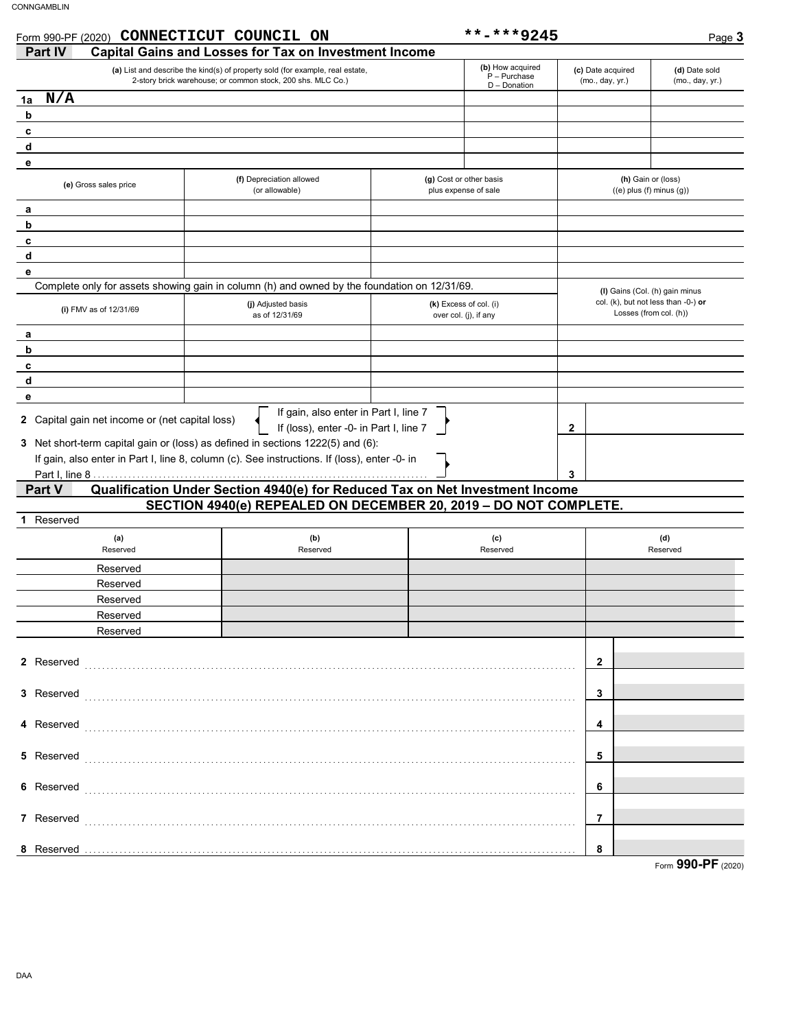| Form 990-PF (2020) CONNECTICUT COUNCIL ON |                                                                                                                                                  | **-***9245                                         |                                      | Page 3                                                        |
|-------------------------------------------|--------------------------------------------------------------------------------------------------------------------------------------------------|----------------------------------------------------|--------------------------------------|---------------------------------------------------------------|
| <b>Part IV</b>                            | <b>Capital Gains and Losses for Tax on Investment Income</b>                                                                                     |                                                    |                                      |                                                               |
|                                           | (a) List and describe the kind(s) of property sold (for example, real estate,<br>2-story brick warehouse; or common stock, 200 shs. MLC Co.)     | (b) How acquired<br>$P - Purchase$<br>D - Donation | (c) Date acquired<br>(mo., day, yr.) | (d) Date sold<br>(mo., day, yr.)                              |
| N/A<br>1a                                 |                                                                                                                                                  |                                                    |                                      |                                                               |
| b                                         |                                                                                                                                                  |                                                    |                                      |                                                               |
| c                                         |                                                                                                                                                  |                                                    |                                      |                                                               |
| d                                         |                                                                                                                                                  |                                                    |                                      |                                                               |
| е                                         |                                                                                                                                                  |                                                    |                                      |                                                               |
| (e) Gross sales price                     | (f) Depreciation allowed<br>(or allowable)                                                                                                       | (g) Cost or other basis<br>plus expense of sale    |                                      | (h) Gain or (loss)<br>$((e)$ plus $(f)$ minus $(g)$ )         |
| а                                         |                                                                                                                                                  |                                                    |                                      |                                                               |
| b                                         |                                                                                                                                                  |                                                    |                                      |                                                               |
| c                                         |                                                                                                                                                  |                                                    |                                      |                                                               |
| d                                         |                                                                                                                                                  |                                                    |                                      |                                                               |
| е                                         |                                                                                                                                                  |                                                    |                                      |                                                               |
|                                           | Complete only for assets showing gain in column (h) and owned by the foundation on 12/31/69.                                                     |                                                    |                                      | (I) Gains (Col. (h) gain minus                                |
| (i) FMV as of 12/31/69                    | (i) Adjusted basis<br>as of 12/31/69                                                                                                             | (k) Excess of col. (i)<br>over col. (j), if any    |                                      | col. (k), but not less than -0-) or<br>Losses (from col. (h)) |
| а                                         |                                                                                                                                                  |                                                    |                                      |                                                               |
| b                                         |                                                                                                                                                  |                                                    |                                      |                                                               |
| C                                         |                                                                                                                                                  |                                                    |                                      |                                                               |
| d                                         |                                                                                                                                                  |                                                    |                                      |                                                               |
| е                                         | If gain, also enter in Part I, line 7                                                                                                            |                                                    |                                      |                                                               |
|                                           | If gain, also enter in Part I, line 8, column (c). See instructions. If (loss), enter -0- in                                                     |                                                    | 3                                    |                                                               |
| Part V                                    | Qualification Under Section 4940(e) for Reduced Tax on Net Investment Income<br>SECTION 4940(e) REPEALED ON DECEMBER 20, 2019 - DO NOT COMPLETE. |                                                    |                                      |                                                               |
| Reserved                                  |                                                                                                                                                  |                                                    |                                      |                                                               |
| (a)                                       | (b)                                                                                                                                              | (c)                                                |                                      | (d)                                                           |
| Reserved                                  | Reserved                                                                                                                                         | Reserved                                           |                                      | Reserved                                                      |
| Reserved                                  |                                                                                                                                                  |                                                    |                                      |                                                               |
| Reserved                                  |                                                                                                                                                  |                                                    |                                      |                                                               |
| Reserved                                  |                                                                                                                                                  |                                                    |                                      |                                                               |
| Reserved                                  |                                                                                                                                                  |                                                    |                                      |                                                               |
| Reserved                                  |                                                                                                                                                  |                                                    |                                      |                                                               |
| 2 Reserved                                |                                                                                                                                                  |                                                    | 2                                    |                                                               |
| 3 Reserved                                |                                                                                                                                                  |                                                    | 3                                    |                                                               |
| 4 Reserved                                |                                                                                                                                                  |                                                    | 4                                    |                                                               |
| 5 Reserved                                |                                                                                                                                                  |                                                    | 5                                    |                                                               |
| 6 Reserved                                |                                                                                                                                                  |                                                    | 6                                    |                                                               |
|                                           |                                                                                                                                                  |                                                    |                                      |                                                               |
| 7 Reserved                                |                                                                                                                                                  |                                                    | 7                                    |                                                               |
| 8 Reserved                                |                                                                                                                                                  |                                                    | 8                                    |                                                               |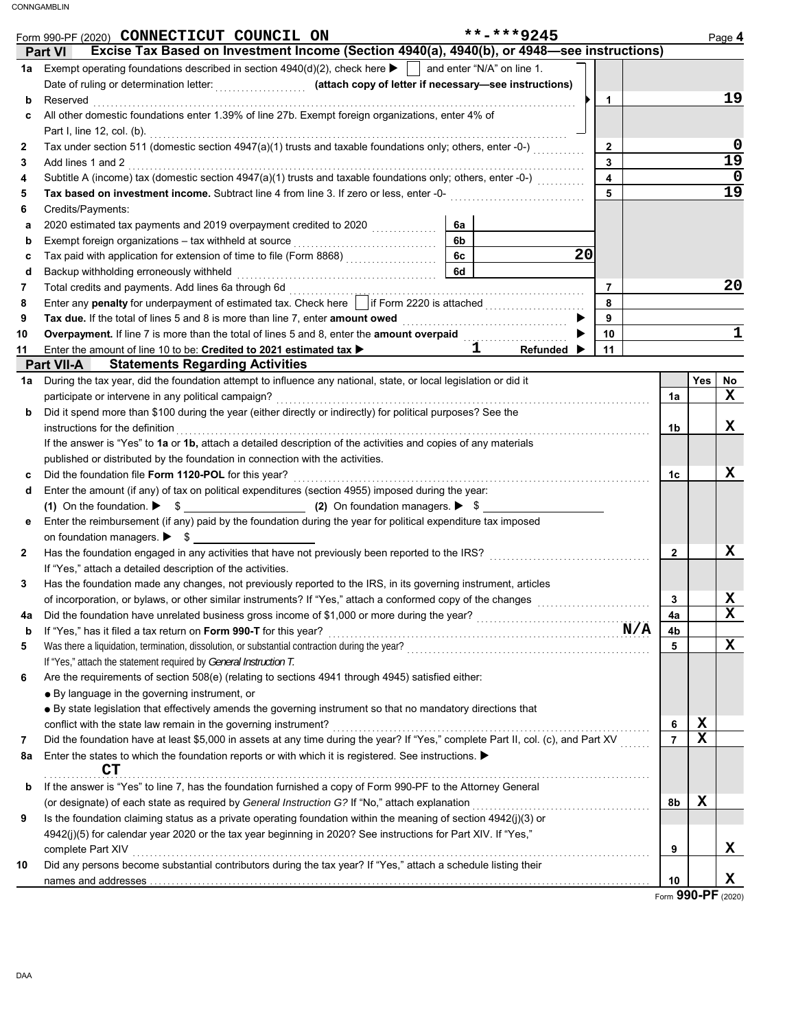|              | **-***9245<br>Form 990-PF (2020) CONNECTICUT COUNCIL ON                                                                                                                                                                                   |                     |             | Page 4                            |
|--------------|-------------------------------------------------------------------------------------------------------------------------------------------------------------------------------------------------------------------------------------------|---------------------|-------------|-----------------------------------|
|              | Excise Tax Based on Investment Income (Section 4940(a), 4940(b), or 4948-see instructions)<br><b>Part VI</b>                                                                                                                              |                     |             |                                   |
| 1a           | Exempt operating foundations described in section $4940(d)(2)$ , check here $\blacktriangleright$   and enter "N/A" on line 1.                                                                                                            |                     |             |                                   |
|              |                                                                                                                                                                                                                                           |                     |             |                                   |
| b            | 1<br>Reserved <b>construction in the construction of the construction of the construction of the construction of the construction of the construction of the construction of the construction of the construction of the construction</b> |                     |             | 19                                |
| c            | All other domestic foundations enter 1.39% of line 27b. Exempt foreign organizations, enter 4% of                                                                                                                                         |                     |             |                                   |
|              |                                                                                                                                                                                                                                           |                     |             |                                   |
| $\mathbf{2}$ | Tax under section 511 (domestic section 4947(a)(1) trusts and taxable foundations only; others, enter -0-)<br>$\mathbf{2}$<br>$\overline{\mathbf{3}}$                                                                                     |                     |             | 0<br>$\overline{19}$              |
| 3            | Add lines 1 and 2<br>Subtitle A (income) tax (domestic section 4947(a)(1) trusts and taxable foundations only; others, enter -0-)<br>$\overline{\mathbf{4}}$                                                                              |                     |             | $\mathbf 0$                       |
| 4<br>5       | 5                                                                                                                                                                                                                                         |                     |             | $\overline{19}$                   |
| 6            | Credits/Payments:                                                                                                                                                                                                                         |                     |             |                                   |
| a            | 2020 estimated tax payments and 2019 overpayment credited to 2020<br>6a                                                                                                                                                                   |                     |             |                                   |
| b            | 6b                                                                                                                                                                                                                                        |                     |             |                                   |
| с            | <b>6c</b><br>20                                                                                                                                                                                                                           |                     |             |                                   |
| d            | 6d<br>Backup withholding erroneously withheld                                                                                                                                                                                             |                     |             |                                   |
| 7            | $\overline{7}$                                                                                                                                                                                                                            |                     |             | 20                                |
| 8            | Enter any penalty for underpayment of estimated tax. Check here in if Form 2220 is attached [[11, 11, 11, 11, 11, 11, 11]<br>8                                                                                                            |                     |             |                                   |
| 9            | 9                                                                                                                                                                                                                                         |                     |             |                                   |
| 10           | Overpayment. If line 7 is more than the total of lines 5 and 8, enter the amount overpaid<br>10                                                                                                                                           |                     |             | $\mathbf 1$                       |
| 11           | Enter the amount of line 10 to be: Credited to 2021 estimated tax ><br>$\overline{\mathbf{1}}$ $\overline{\phantom{0}}$<br>11<br>Refunded $\blacktriangleright$                                                                           |                     |             |                                   |
|              | <b>Part VII-A</b> Statements Regarding Activities                                                                                                                                                                                         |                     |             |                                   |
| 1a           | During the tax year, did the foundation attempt to influence any national, state, or local legislation or did it                                                                                                                          |                     | Yes         | No                                |
|              |                                                                                                                                                                                                                                           | 1a                  |             | x                                 |
| b            | Did it spend more than \$100 during the year (either directly or indirectly) for political purposes? See the                                                                                                                              |                     |             |                                   |
|              | instructions for the definition                                                                                                                                                                                                           | 1b                  |             | x                                 |
|              | If the answer is "Yes" to 1a or 1b, attach a detailed description of the activities and copies of any materials                                                                                                                           |                     |             |                                   |
|              | published or distributed by the foundation in connection with the activities.                                                                                                                                                             |                     |             |                                   |
| c            |                                                                                                                                                                                                                                           | 1c                  |             | x                                 |
| d            | Enter the amount (if any) of tax on political expenditures (section 4955) imposed during the year:                                                                                                                                        |                     |             |                                   |
|              |                                                                                                                                                                                                                                           |                     |             |                                   |
| е            | Enter the reimbursement (if any) paid by the foundation during the year for political expenditure tax imposed                                                                                                                             |                     |             |                                   |
|              | on foundation managers. $\triangleright$ $\uparrow$ $\searrow$                                                                                                                                                                            |                     |             |                                   |
| 2            |                                                                                                                                                                                                                                           | $\overline{2}$      |             | x                                 |
|              | If "Yes," attach a detailed description of the activities.                                                                                                                                                                                |                     |             |                                   |
| 3            | Has the foundation made any changes, not previously reported to the IRS, in its governing instrument, articles                                                                                                                            |                     |             |                                   |
|              | of incorporation, or bylaws, or other similar instruments? If "Yes," attach a conformed copy of the changes                                                                                                                               | 3                   |             | X                                 |
| 4a           |                                                                                                                                                                                                                                           | 4a                  |             | $\mathbf x$                       |
| b            | If "Yes," has it filed a tax return on Form 990-T for this year?<br>$N/A$                                                                                                                                                                 | 4b                  |             |                                   |
| 5            |                                                                                                                                                                                                                                           | 5                   |             | X                                 |
|              | If "Yes," attach the statement required by General Instruction T.                                                                                                                                                                         |                     |             |                                   |
| 6            | Are the requirements of section 508(e) (relating to sections 4941 through 4945) satisfied either:                                                                                                                                         |                     |             |                                   |
|              | • By language in the governing instrument, or                                                                                                                                                                                             |                     |             |                                   |
|              | • By state legislation that effectively amends the governing instrument so that no mandatory directions that                                                                                                                              |                     | X           |                                   |
|              | conflict with the state law remain in the governing instrument?<br>Did the foundation have at least \$5,000 in assets at any time during the year? If "Yes," complete Part II, col. (c), and Part XV                                      | 6<br>$\overline{7}$ | $\mathbf x$ |                                   |
| 7            | Enter the states to which the foundation reports or with which it is registered. See instructions.                                                                                                                                        |                     |             |                                   |
| 8a           | CT                                                                                                                                                                                                                                        |                     |             |                                   |
| b            | If the answer is "Yes" to line 7, has the foundation furnished a copy of Form 990-PF to the Attorney General                                                                                                                              |                     |             |                                   |
|              | (or designate) of each state as required by General Instruction G? If "No," attach explanation                                                                                                                                            | 8b                  | $\mathbf x$ |                                   |
| 9            | Is the foundation claiming status as a private operating foundation within the meaning of section 4942(j)(3) or                                                                                                                           |                     |             |                                   |
|              | 4942(j)(5) for calendar year 2020 or the tax year beginning in 2020? See instructions for Part XIV. If "Yes,"                                                                                                                             |                     |             |                                   |
|              | complete Part XIV                                                                                                                                                                                                                         | 9                   |             | x                                 |
| 10           | Did any persons become substantial contributors during the tax year? If "Yes," attach a schedule listing their                                                                                                                            |                     |             |                                   |
|              |                                                                                                                                                                                                                                           | 10                  |             | x                                 |
|              |                                                                                                                                                                                                                                           |                     |             | $_{\rm{form}}$ QQN_DF $_{(2020)}$ |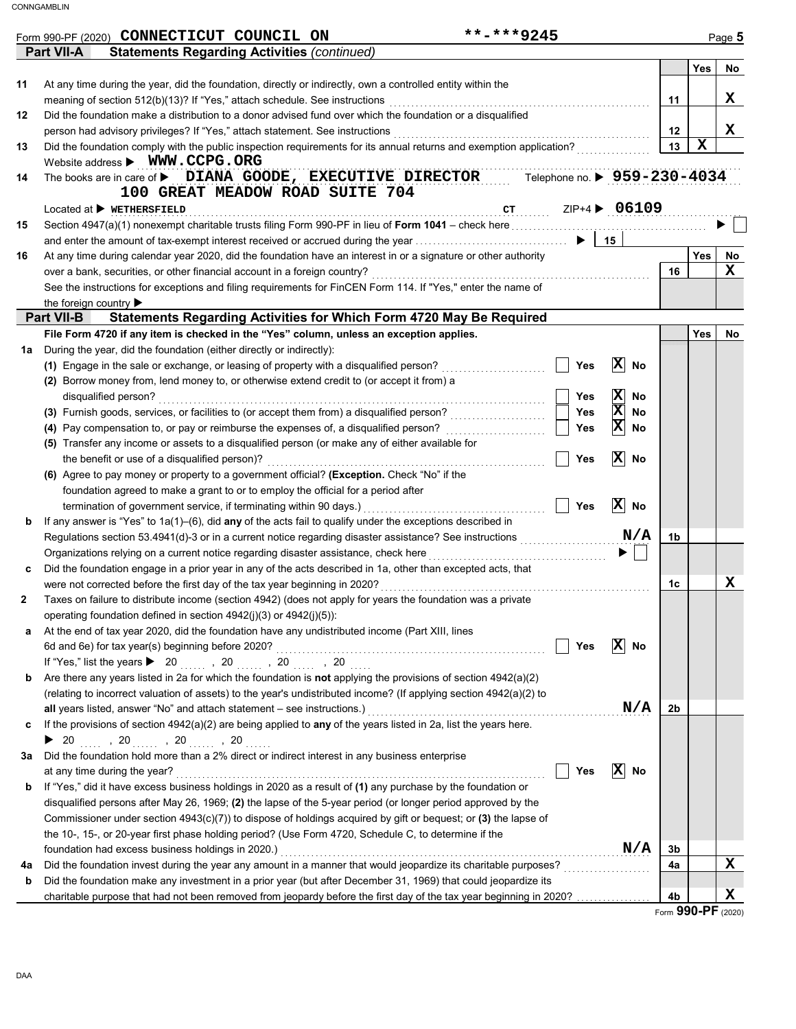|    | **-***9245<br>Form 990-PF (2020) CONNECTICUT COUNCIL ON                                                                                                                                  |     |                               |    |     | Page 5      |
|----|------------------------------------------------------------------------------------------------------------------------------------------------------------------------------------------|-----|-------------------------------|----|-----|-------------|
|    | <b>Statements Regarding Activities (continued)</b><br>Part VII-A                                                                                                                         |     |                               |    |     |             |
| 11 |                                                                                                                                                                                          |     |                               |    | Yes | No          |
|    | At any time during the year, did the foundation, directly or indirectly, own a controlled entity within the                                                                              |     |                               |    |     | x           |
|    | meaning of section 512(b)(13)? If "Yes," attach schedule. See instructions<br>Did the foundation make a distribution to a donor advised fund over which the foundation or a disqualified |     |                               | 11 |     |             |
| 12 | person had advisory privileges? If "Yes," attach statement. See instructions                                                                                                             |     |                               | 12 |     | x           |
| 13 | Did the foundation comply with the public inspection requirements for its annual returns and exemption application?                                                                      |     |                               | 13 | X   |             |
|    | Website address > WWW.CCPG.ORG                                                                                                                                                           |     |                               |    |     |             |
| 14 | The books are in care of <b>b</b> DIANA GOODE, EXECUTIVE DIRECTOR Telephone no. <b>b</b> 9<br>100 GREAT MEADOW ROAD SUITE 704                                                            |     | Telephone no. ▶ 959-230-4034  |    |     |             |
|    | $Localed$ at $\blacktriangleright$ we THERSFIELD                                                                                                                                         |     | ZIP+4 > 06109                 |    |     |             |
| 15 |                                                                                                                                                                                          |     |                               |    |     |             |
|    |                                                                                                                                                                                          |     |                               |    |     |             |
| 16 | At any time during calendar year 2020, did the foundation have an interest in or a signature or other authority                                                                          |     |                               |    | Yes | No          |
|    | over a bank, securities, or other financial account in a foreign country?                                                                                                                |     |                               | 16 |     | $\mathbf x$ |
|    | See the instructions for exceptions and filing requirements for FinCEN Form 114. If "Yes," enter the name of                                                                             |     |                               |    |     |             |
|    | the foreign country $\blacktriangleright$                                                                                                                                                |     |                               |    |     |             |
|    | Statements Regarding Activities for Which Form 4720 May Be Required<br><b>Part VII-B</b>                                                                                                 |     |                               |    |     |             |
|    | File Form 4720 if any item is checked in the "Yes" column, unless an exception applies.                                                                                                  |     |                               |    | Yes | No          |
| 1a | During the year, did the foundation (either directly or indirectly):                                                                                                                     |     |                               |    |     |             |
|    | (1) Engage in the sale or exchange, or leasing of property with a disqualified person?                                                                                                   | Yes | $ \mathbf{X} $<br>No          |    |     |             |
|    | (2) Borrow money from, lend money to, or otherwise extend credit to (or accept it from) a                                                                                                |     |                               |    |     |             |
|    | disqualified person?                                                                                                                                                                     | Yes | $ \mathbf{x} $<br><b>No</b>   |    |     |             |
|    | (3) Furnish goods, services, or facilities to (or accept them from) a disqualified person?                                                                                               | Yes | $\overline{\mathbf{x}}$<br>No |    |     |             |
|    | (4) Pay compensation to, or pay or reimburse the expenses of, a disqualified person?                                                                                                     | Yes | $ \mathbf{x} $<br>No          |    |     |             |
|    | (5) Transfer any income or assets to a disqualified person (or make any of either available for                                                                                          |     |                               |    |     |             |
|    | the benefit or use of a disqualified person)?                                                                                                                                            | Yes | $ \mathbf{X} $<br>No          |    |     |             |
|    | (6) Agree to pay money or property to a government official? (Exception. Check "No" if the                                                                                               |     |                               |    |     |             |
|    | foundation agreed to make a grant to or to employ the official for a period after                                                                                                        |     |                               |    |     |             |
|    | termination of government service, if terminating within 90 days.)                                                                                                                       | Yes | $\overline{X}$ No             |    |     |             |
| b  | If any answer is "Yes" to $1a(1)$ –(6), did any of the acts fail to qualify under the exceptions described in                                                                            |     |                               |    |     |             |
|    | Regulations section 53.4941(d)-3 or in a current notice regarding disaster assistance? See instructions                                                                                  |     | N/A                           | 1b |     |             |
|    | Organizations relying on a current notice regarding disaster assistance, check here                                                                                                      |     |                               |    |     |             |
| c  | Did the foundation engage in a prior year in any of the acts described in 1a, other than excepted acts, that                                                                             |     |                               |    |     |             |
|    | were not corrected before the first day of the tax year beginning in 2020?                                                                                                               |     |                               | 1c |     | X           |
|    | Taxes on failure to distribute income (section 4942) (does not apply for years the foundation was a private                                                                              |     |                               |    |     |             |
|    | operating foundation defined in section 4942(j)(3) or 4942(j)(5)):                                                                                                                       |     |                               |    |     |             |
| а  | At the end of tax year 2020, did the foundation have any undistributed income (Part XIII, lines                                                                                          |     |                               |    |     |             |
|    |                                                                                                                                                                                          | Yes | $ X $ No                      |    |     |             |
|    | If "Yes," list the years $\triangleright$ 20 , 20 , 20 , 20                                                                                                                              |     |                               |    |     |             |
| b  | Are there any years listed in 2a for which the foundation is <b>not</b> applying the provisions of section $4942(a)(2)$                                                                  |     |                               |    |     |             |
|    | (relating to incorrect valuation of assets) to the year's undistributed income? (If applying section 4942(a)(2) to                                                                       |     |                               |    |     |             |
|    | all years listed, answer "No" and attach statement - see instructions.)                                                                                                                  |     | N/A                           | 2b |     |             |
| c  | If the provisions of section 4942(a)(2) are being applied to any of the years listed in 2a, list the years here.                                                                         |     |                               |    |     |             |
|    |                                                                                                                                                                                          |     |                               |    |     |             |
| За | Did the foundation hold more than a 2% direct or indirect interest in any business enterprise                                                                                            |     |                               |    |     |             |
|    | at any time during the year?                                                                                                                                                             | Yes | $ \mathbf{X} $<br>No          |    |     |             |
| b  | If "Yes," did it have excess business holdings in 2020 as a result of (1) any purchase by the foundation or                                                                              |     |                               |    |     |             |
|    | disqualified persons after May 26, 1969; (2) the lapse of the 5-year period (or longer period approved by the                                                                            |     |                               |    |     |             |
|    | Commissioner under section 4943(c)(7)) to dispose of holdings acquired by gift or bequest; or (3) the lapse of                                                                           |     |                               |    |     |             |
|    | the 10-, 15-, or 20-year first phase holding period? (Use Form 4720, Schedule C, to determine if the                                                                                     |     |                               |    |     |             |
|    | foundation had excess business holdings in 2020.)                                                                                                                                        |     | N/A                           | 3b |     |             |
| 4a | Did the foundation invest during the year any amount in a manner that would jeopardize its charitable purposes?                                                                          |     | .                             | 4a |     | X           |
| b  | Did the foundation make any investment in a prior year (but after December 31, 1969) that could jeopardize its                                                                           |     |                               |    |     | x           |
|    | charitable purpose that had not been removed from jeopardy before the first day of the tax year beginning in 2020?                                                                       |     |                               | 4b |     |             |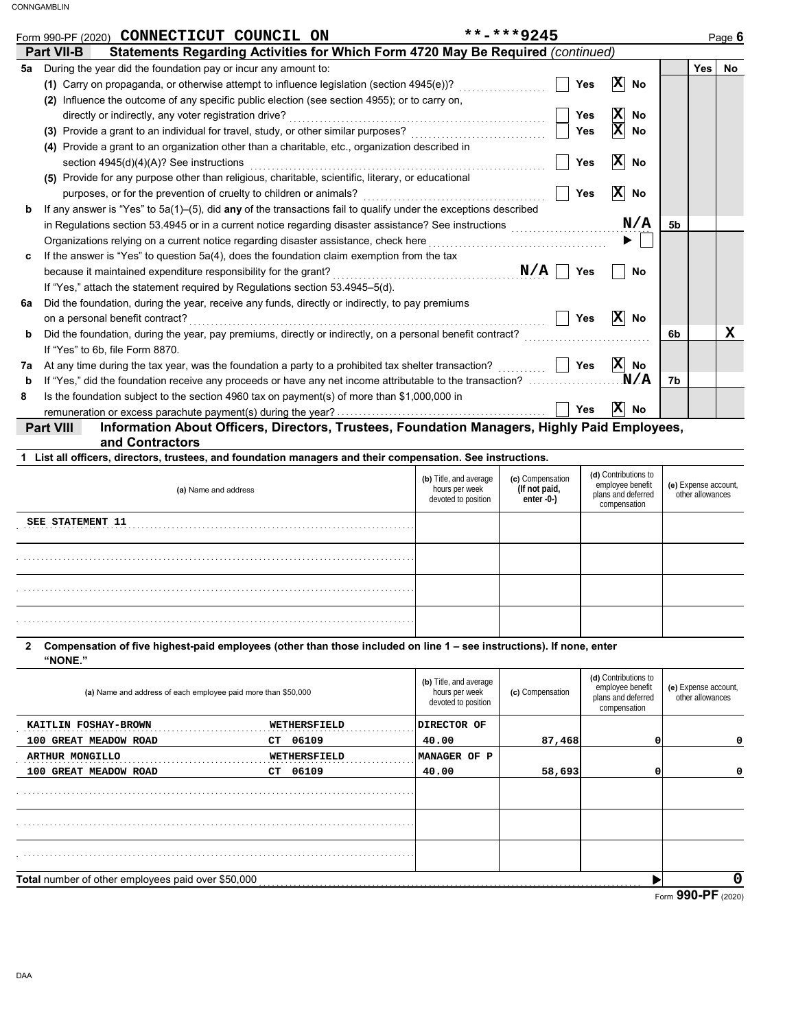|    | **-***9245<br>Form 990-PF (2020) CONNECTICUT COUNCIL ON                                                            |            |                                |                |            | Page 6 |
|----|--------------------------------------------------------------------------------------------------------------------|------------|--------------------------------|----------------|------------|--------|
|    | Part VII-B<br>Statements Regarding Activities for Which Form 4720 May Be Required (continued)                      |            |                                |                |            |        |
| 5а | During the year did the foundation pay or incur any amount to:                                                     |            |                                |                | <b>Yes</b> | No.    |
|    | (1) Carry on propaganda, or otherwise attempt to influence legislation (section $4945(e)$ )?                       | Yes        | $ \mathbf{X} $<br>No           |                |            |        |
|    | (2) Influence the outcome of any specific public election (see section 4955); or to carry on,                      |            |                                |                |            |        |
|    | directly or indirectly, any voter registration drive?                                                              | Yes        | $\overline{\mathbf{x}}$<br>No  |                |            |        |
|    | (3) Provide a grant to an individual for travel, study, or other similar purposes?                                 | Yes        | $ \mathbf{x} $<br>No           |                |            |        |
|    | (4) Provide a grant to an organization other than a charitable, etc., organization described in                    |            |                                |                |            |        |
|    | section 4945(d)(4)(A)? See instructions                                                                            | Yes        | $ \mathbf{X} $<br>No           |                |            |        |
|    | (5) Provide for any purpose other than religious, charitable, scientific, literary, or educational                 |            |                                |                |            |        |
|    | purposes, or for the prevention of cruelty to children or animals?                                                 | Yes        | $ \mathbf{x} $<br>No           |                |            |        |
| b  | If any answer is "Yes" to $5a(1)$ -(5), did any of the transactions fail to qualify under the exceptions described |            |                                |                |            |        |
|    | in Regulations section 53.4945 or in a current notice regarding disaster assistance? See instructions              |            | N/A                            | 5 <sub>b</sub> |            |        |
|    | Organizations relying on a current notice regarding disaster assistance, check here                                |            |                                |                |            |        |
| c  | If the answer is "Yes" to question 5a(4), does the foundation claim exemption from the tax                         |            |                                |                |            |        |
|    | because it maintained expenditure responsibility for the grant?                                                    | N/A<br>Yes | No                             |                |            |        |
|    | If "Yes," attach the statement required by Regulations section 53.4945-5(d).                                       |            |                                |                |            |        |
| 6a | Did the foundation, during the year, receive any funds, directly or indirectly, to pay premiums                    |            |                                |                |            |        |
|    | on a personal benefit contract?                                                                                    | Yes        | $\vert \mathbf{X} \vert$<br>No |                |            |        |
| b  | Did the foundation, during the year, pay premiums, directly or indirectly, on a personal benefit contract?         |            |                                | 6b             |            | x      |
|    | If "Yes" to 6b, file Form 8870.                                                                                    |            |                                |                |            |        |
| 7a | At any time during the tax year, was the foundation a party to a prohibited tax shelter transaction?               | Yes        | $ \mathbf{x} $<br><b>No</b>    |                |            |        |
| b  | If "Yes," did the foundation receive any proceeds or have any net income attributable to the transaction?          |            | N/A                            | 7b             |            |        |
| 8  | Is the foundation subject to the section 4960 tax on payment(s) of more than \$1,000,000 in                        |            |                                |                |            |        |
|    |                                                                                                                    | Yes        | $ \mathbf{X} $<br>No           |                |            |        |

**Part VIII Information About Officers, Directors, Trustees, Foundation Managers, Highly Paid Employees, and Contractors**

| 1 List all officers, directors, trustees, and foundation managers and their compensation. See instructions. |  |
|-------------------------------------------------------------------------------------------------------------|--|
|                                                                                                             |  |

| (a) Name and address    | (b) Title, and average<br>hours per week<br>devoted to position | (c) Compensation<br>(If not paid,<br>enter -0-) | (d) Contributions to<br>employee benefit<br>plans and deferred<br>compensation | (e) Expense account,<br>other allowances |
|-------------------------|-----------------------------------------------------------------|-------------------------------------------------|--------------------------------------------------------------------------------|------------------------------------------|
| <b>SEE STATEMENT 11</b> |                                                                 |                                                 |                                                                                |                                          |
|                         |                                                                 |                                                 |                                                                                |                                          |
|                         |                                                                 |                                                 |                                                                                |                                          |
|                         |                                                                 |                                                 |                                                                                |                                          |

**2 Compensation of five highest-paid employees (other than those included on line 1 – see instructions). If none, enter "NONE."**

|                                                               |              |                                                                 |                  |                                                                                | --- --                                   |
|---------------------------------------------------------------|--------------|-----------------------------------------------------------------|------------------|--------------------------------------------------------------------------------|------------------------------------------|
| Total number of other employees paid over \$50,000            |              |                                                                 |                  |                                                                                |                                          |
|                                                               |              |                                                                 |                  |                                                                                |                                          |
|                                                               |              |                                                                 |                  |                                                                                |                                          |
|                                                               |              |                                                                 |                  |                                                                                |                                          |
|                                                               |              |                                                                 |                  |                                                                                |                                          |
| 100 GREAT MEADOW ROAD                                         | 06109<br>CT  | 40.00                                                           | 58,693           |                                                                                | 0                                        |
| <b>ARTHUR MONGILLO</b>                                        | WETHERSFIELD | MANAGER OF P                                                    |                  |                                                                                |                                          |
| 100 GREAT MEADOW ROAD                                         | 06109<br>CT. | 40.00                                                           | 87,468           |                                                                                | 0                                        |
| KAITLIN FOSHAY-BROWN                                          | WETHERSFIELD | DIRECTOR OF                                                     |                  |                                                                                |                                          |
| (a) Name and address of each employee paid more than \$50,000 |              | (b) Title, and average<br>hours per week<br>devoted to position | (c) Compensation | (d) Contributions to<br>employee benefit<br>plans and deferred<br>compensation | (e) Expense account,<br>other allowances |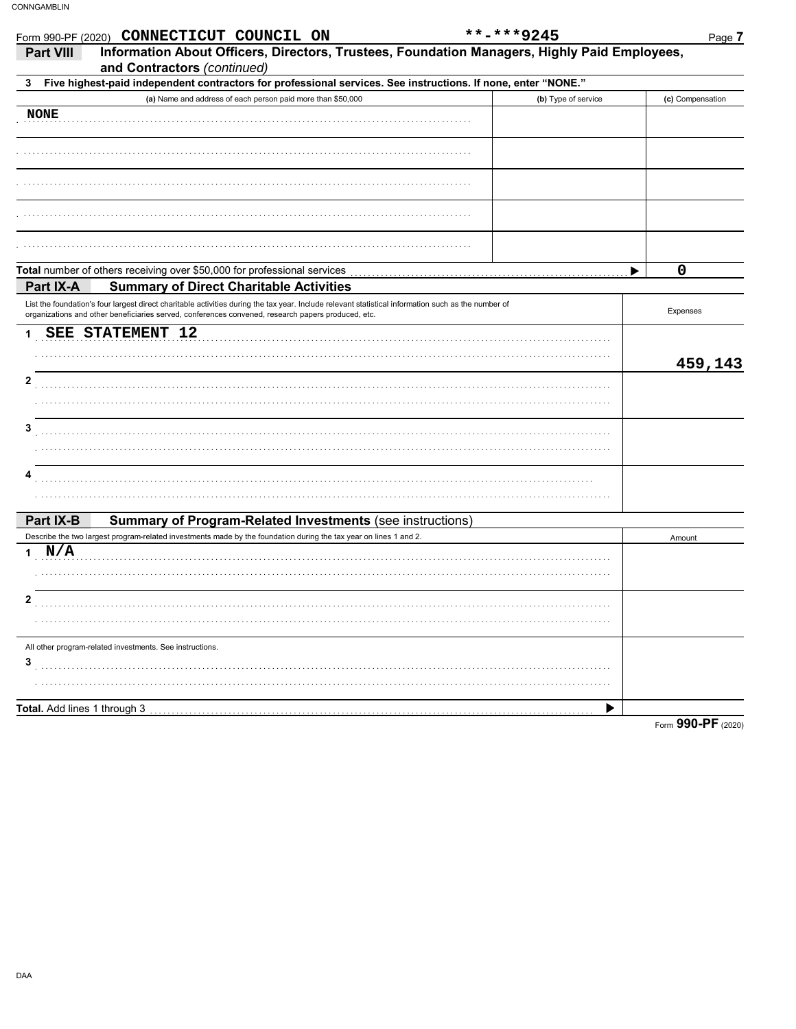| Information About Officers, Directors, Trustees, Foundation Managers, Highly Paid Employees,<br><b>Part VIII</b>                                                                                                                                          |                                         |
|-----------------------------------------------------------------------------------------------------------------------------------------------------------------------------------------------------------------------------------------------------------|-----------------------------------------|
| and Contractors (continued)                                                                                                                                                                                                                               |                                         |
| Five highest-paid independent contractors for professional services. See instructions. If none, enter "NONE."<br>3                                                                                                                                        |                                         |
| (a) Name and address of each person paid more than \$50,000                                                                                                                                                                                               | (b) Type of service<br>(c) Compensation |
| <b>NONE</b>                                                                                                                                                                                                                                               |                                         |
|                                                                                                                                                                                                                                                           |                                         |
|                                                                                                                                                                                                                                                           |                                         |
|                                                                                                                                                                                                                                                           |                                         |
|                                                                                                                                                                                                                                                           |                                         |
| Total number of others receiving over \$50,000 for professional services                                                                                                                                                                                  | 0<br>▶                                  |
| <b>Summary of Direct Charitable Activities</b><br>Part IX-A                                                                                                                                                                                               |                                         |
| List the foundation's four largest direct charitable activities during the tax year. Include relevant statistical information such as the number of<br>organizations and other beneficiaries served, conferences convened, research papers produced, etc. | Expenses                                |
| <b>SEE STATEMENT 12</b>                                                                                                                                                                                                                                   |                                         |
|                                                                                                                                                                                                                                                           |                                         |
|                                                                                                                                                                                                                                                           | 459,143                                 |
| 2                                                                                                                                                                                                                                                         |                                         |
|                                                                                                                                                                                                                                                           |                                         |
|                                                                                                                                                                                                                                                           |                                         |
| 3                                                                                                                                                                                                                                                         |                                         |
|                                                                                                                                                                                                                                                           |                                         |
| 4                                                                                                                                                                                                                                                         |                                         |
|                                                                                                                                                                                                                                                           |                                         |
|                                                                                                                                                                                                                                                           |                                         |
| Part IX-B<br><b>Summary of Program-Related Investments (see instructions)</b>                                                                                                                                                                             |                                         |
| Describe the two largest program-related investments made by the foundation during the tax year on lines 1 and 2.                                                                                                                                         | Amount                                  |
| N/A                                                                                                                                                                                                                                                       |                                         |
|                                                                                                                                                                                                                                                           |                                         |
|                                                                                                                                                                                                                                                           |                                         |
| 2                                                                                                                                                                                                                                                         |                                         |
|                                                                                                                                                                                                                                                           |                                         |
| All other program-related investments. See instructions.                                                                                                                                                                                                  |                                         |
| 3                                                                                                                                                                                                                                                         |                                         |
|                                                                                                                                                                                                                                                           |                                         |
| Total. Add lines 1 through 3                                                                                                                                                                                                                              | ▶                                       |
|                                                                                                                                                                                                                                                           | Form 990-PF (2020)                      |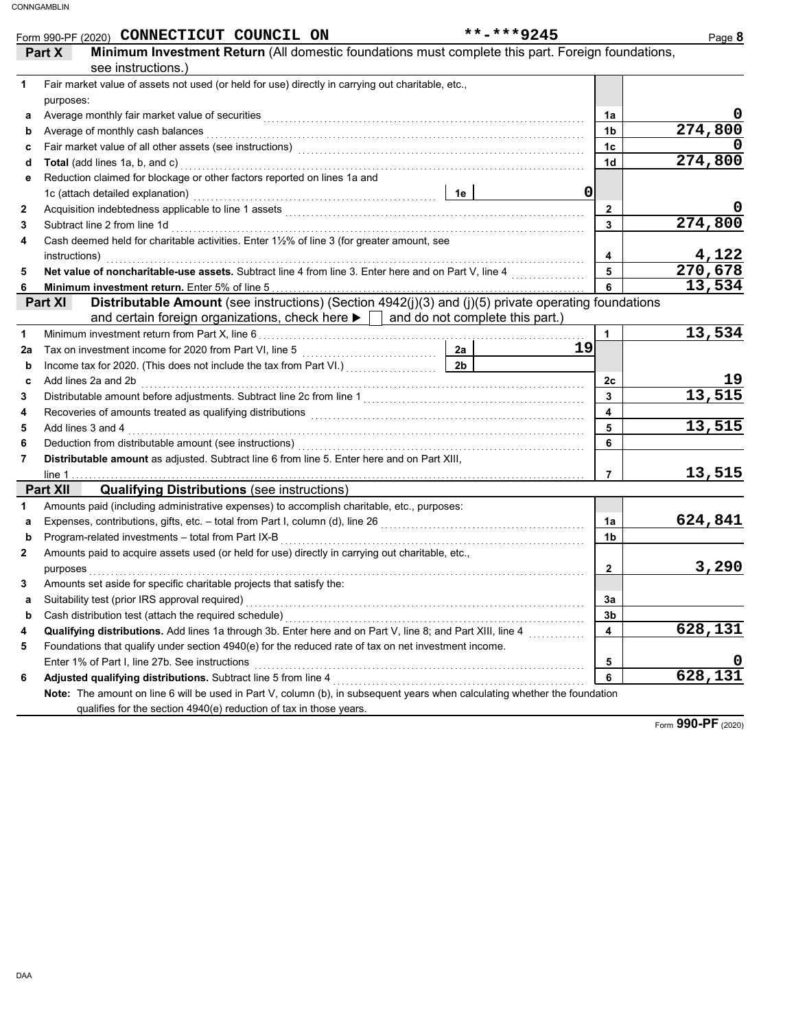| Minimum Investment Return (All domestic foundations must complete this part. Foreign foundations,<br>Part X<br>see instructions.)<br>Fair market value of assets not used (or held for use) directly in carrying out charitable, etc.,<br>1<br>purposes:<br>1a<br>а<br>274,800<br>Average of monthly cash balances <b>constructs</b> and a series of monthly cash balances and construct of monthly cash<br>1 <sub>b</sub><br>b<br>1 <sub>c</sub><br>c<br>274,800<br>Total (add lines 1a, b, and c) with the control of the control of the control of the control of the control of the control of the control of the control of the control of the control of the control of the control of the co<br>1 <sub>d</sub><br>d<br>Reduction claimed for blockage or other factors reported on lines 1a and<br>е<br>$\mathbf 0$<br>$\overline{2}$<br>2<br>274,800<br>$\mathbf{3}$<br>Subtract line 2 from line 1d<br>3<br>Cash deemed held for charitable activities. Enter 1½% of line 3 (for greater amount, see<br>4<br>4,122<br>$\overline{\mathbf{4}}$<br>270,678<br>Net value of noncharitable-use assets. Subtract line 4 from line 3. Enter here and on Part V, line 4<br>5<br>5<br>13,534<br>6<br>6<br>Distributable Amount (see instructions) (Section 4942(j)(3) and (j)(5) private operating foundations<br>Part XI<br>and certain foreign organizations, check here $\blacktriangleright$ $\mid$ and do not complete this part.)<br>13,534<br>$\mathbf{1}$<br>1<br>19<br>2a<br>2 <sub>b</sub><br>b<br>2c<br>Add lines 2a and 2b <b>contract and 2</b> contract the contract of the contract of the contract of the contract of the contract of the contract of the contract of the contract of the contract of the contract of the contract of<br>C<br>13,515<br>$\mathbf{3}$<br>3<br>$\overline{\mathbf{4}}$<br>4<br>13,515<br>$5\overline{)}$<br>Add lines 3 and 4<br>5<br>6<br>Deduction from distributable amount (see instructions) [11] with the content of the distribution from distributable amount (see instructions) [11] with the content of the content of the content of the content of the conten<br>6<br>Distributable amount as adjusted. Subtract line 6 from line 5. Enter here and on Part XIII,<br>7<br><u>13,515</u><br>$\overline{7}$<br><b>Qualifying Distributions (see instructions)</b><br><b>Part XII</b><br>Amounts paid (including administrative expenses) to accomplish charitable, etc., purposes:<br>1<br>624,841<br>1a<br>a<br>1 <sub>b</sub><br>b<br>Amounts paid to acquire assets used (or held for use) directly in carrying out charitable, etc.,<br>2<br>3,290<br>$\overline{2}$<br>Amounts set aside for specific charitable projects that satisfy the:<br>3<br>За<br>a<br>3b<br>b<br>628,131<br>Qualifying distributions. Add lines 1a through 3b. Enter here and on Part V, line 8; and Part XIII, line 4<br>4<br>4<br>Foundations that qualify under section 4940(e) for the reduced rate of tax on net investment income.<br>5<br>5<br>628,131<br>6<br>6<br>Note: The amount on line 6 will be used in Part V, column (b), in subsequent years when calculating whether the foundation | **-***9245<br>Form 990-PF (2020) CONNECTICUT COUNCIL ON            | Page 8 |
|----------------------------------------------------------------------------------------------------------------------------------------------------------------------------------------------------------------------------------------------------------------------------------------------------------------------------------------------------------------------------------------------------------------------------------------------------------------------------------------------------------------------------------------------------------------------------------------------------------------------------------------------------------------------------------------------------------------------------------------------------------------------------------------------------------------------------------------------------------------------------------------------------------------------------------------------------------------------------------------------------------------------------------------------------------------------------------------------------------------------------------------------------------------------------------------------------------------------------------------------------------------------------------------------------------------------------------------------------------------------------------------------------------------------------------------------------------------------------------------------------------------------------------------------------------------------------------------------------------------------------------------------------------------------------------------------------------------------------------------------------------------------------------------------------------------------------------------------------------------------------------------------------------------------------------------------------------------------------------------------------------------------------------------------------------------------------------------------------------------------------------------------------------------------------------------------------------------------------------------------------------------------------------------------------------------------------------------------------------------------------------------------------------------------------------------------------------------------------------------------------------------------------------------------------------------------------------------------------------------------------------------------------------------------------------------------------------------------------------------------------------------------------------------------------------------------------------------------------------------------------------------------------------------------------------------------------------------------------------------------------------------------------------------------------------------------------------------------------------------------------------------------|--------------------------------------------------------------------|--------|
|                                                                                                                                                                                                                                                                                                                                                                                                                                                                                                                                                                                                                                                                                                                                                                                                                                                                                                                                                                                                                                                                                                                                                                                                                                                                                                                                                                                                                                                                                                                                                                                                                                                                                                                                                                                                                                                                                                                                                                                                                                                                                                                                                                                                                                                                                                                                                                                                                                                                                                                                                                                                                                                                                                                                                                                                                                                                                                                                                                                                                                                                                                                                              |                                                                    |        |
|                                                                                                                                                                                                                                                                                                                                                                                                                                                                                                                                                                                                                                                                                                                                                                                                                                                                                                                                                                                                                                                                                                                                                                                                                                                                                                                                                                                                                                                                                                                                                                                                                                                                                                                                                                                                                                                                                                                                                                                                                                                                                                                                                                                                                                                                                                                                                                                                                                                                                                                                                                                                                                                                                                                                                                                                                                                                                                                                                                                                                                                                                                                                              |                                                                    |        |
|                                                                                                                                                                                                                                                                                                                                                                                                                                                                                                                                                                                                                                                                                                                                                                                                                                                                                                                                                                                                                                                                                                                                                                                                                                                                                                                                                                                                                                                                                                                                                                                                                                                                                                                                                                                                                                                                                                                                                                                                                                                                                                                                                                                                                                                                                                                                                                                                                                                                                                                                                                                                                                                                                                                                                                                                                                                                                                                                                                                                                                                                                                                                              |                                                                    |        |
|                                                                                                                                                                                                                                                                                                                                                                                                                                                                                                                                                                                                                                                                                                                                                                                                                                                                                                                                                                                                                                                                                                                                                                                                                                                                                                                                                                                                                                                                                                                                                                                                                                                                                                                                                                                                                                                                                                                                                                                                                                                                                                                                                                                                                                                                                                                                                                                                                                                                                                                                                                                                                                                                                                                                                                                                                                                                                                                                                                                                                                                                                                                                              |                                                                    |        |
|                                                                                                                                                                                                                                                                                                                                                                                                                                                                                                                                                                                                                                                                                                                                                                                                                                                                                                                                                                                                                                                                                                                                                                                                                                                                                                                                                                                                                                                                                                                                                                                                                                                                                                                                                                                                                                                                                                                                                                                                                                                                                                                                                                                                                                                                                                                                                                                                                                                                                                                                                                                                                                                                                                                                                                                                                                                                                                                                                                                                                                                                                                                                              |                                                                    |        |
|                                                                                                                                                                                                                                                                                                                                                                                                                                                                                                                                                                                                                                                                                                                                                                                                                                                                                                                                                                                                                                                                                                                                                                                                                                                                                                                                                                                                                                                                                                                                                                                                                                                                                                                                                                                                                                                                                                                                                                                                                                                                                                                                                                                                                                                                                                                                                                                                                                                                                                                                                                                                                                                                                                                                                                                                                                                                                                                                                                                                                                                                                                                                              |                                                                    |        |
|                                                                                                                                                                                                                                                                                                                                                                                                                                                                                                                                                                                                                                                                                                                                                                                                                                                                                                                                                                                                                                                                                                                                                                                                                                                                                                                                                                                                                                                                                                                                                                                                                                                                                                                                                                                                                                                                                                                                                                                                                                                                                                                                                                                                                                                                                                                                                                                                                                                                                                                                                                                                                                                                                                                                                                                                                                                                                                                                                                                                                                                                                                                                              |                                                                    |        |
|                                                                                                                                                                                                                                                                                                                                                                                                                                                                                                                                                                                                                                                                                                                                                                                                                                                                                                                                                                                                                                                                                                                                                                                                                                                                                                                                                                                                                                                                                                                                                                                                                                                                                                                                                                                                                                                                                                                                                                                                                                                                                                                                                                                                                                                                                                                                                                                                                                                                                                                                                                                                                                                                                                                                                                                                                                                                                                                                                                                                                                                                                                                                              |                                                                    |        |
|                                                                                                                                                                                                                                                                                                                                                                                                                                                                                                                                                                                                                                                                                                                                                                                                                                                                                                                                                                                                                                                                                                                                                                                                                                                                                                                                                                                                                                                                                                                                                                                                                                                                                                                                                                                                                                                                                                                                                                                                                                                                                                                                                                                                                                                                                                                                                                                                                                                                                                                                                                                                                                                                                                                                                                                                                                                                                                                                                                                                                                                                                                                                              |                                                                    |        |
|                                                                                                                                                                                                                                                                                                                                                                                                                                                                                                                                                                                                                                                                                                                                                                                                                                                                                                                                                                                                                                                                                                                                                                                                                                                                                                                                                                                                                                                                                                                                                                                                                                                                                                                                                                                                                                                                                                                                                                                                                                                                                                                                                                                                                                                                                                                                                                                                                                                                                                                                                                                                                                                                                                                                                                                                                                                                                                                                                                                                                                                                                                                                              |                                                                    |        |
|                                                                                                                                                                                                                                                                                                                                                                                                                                                                                                                                                                                                                                                                                                                                                                                                                                                                                                                                                                                                                                                                                                                                                                                                                                                                                                                                                                                                                                                                                                                                                                                                                                                                                                                                                                                                                                                                                                                                                                                                                                                                                                                                                                                                                                                                                                                                                                                                                                                                                                                                                                                                                                                                                                                                                                                                                                                                                                                                                                                                                                                                                                                                              |                                                                    |        |
|                                                                                                                                                                                                                                                                                                                                                                                                                                                                                                                                                                                                                                                                                                                                                                                                                                                                                                                                                                                                                                                                                                                                                                                                                                                                                                                                                                                                                                                                                                                                                                                                                                                                                                                                                                                                                                                                                                                                                                                                                                                                                                                                                                                                                                                                                                                                                                                                                                                                                                                                                                                                                                                                                                                                                                                                                                                                                                                                                                                                                                                                                                                                              |                                                                    |        |
|                                                                                                                                                                                                                                                                                                                                                                                                                                                                                                                                                                                                                                                                                                                                                                                                                                                                                                                                                                                                                                                                                                                                                                                                                                                                                                                                                                                                                                                                                                                                                                                                                                                                                                                                                                                                                                                                                                                                                                                                                                                                                                                                                                                                                                                                                                                                                                                                                                                                                                                                                                                                                                                                                                                                                                                                                                                                                                                                                                                                                                                                                                                                              |                                                                    |        |
|                                                                                                                                                                                                                                                                                                                                                                                                                                                                                                                                                                                                                                                                                                                                                                                                                                                                                                                                                                                                                                                                                                                                                                                                                                                                                                                                                                                                                                                                                                                                                                                                                                                                                                                                                                                                                                                                                                                                                                                                                                                                                                                                                                                                                                                                                                                                                                                                                                                                                                                                                                                                                                                                                                                                                                                                                                                                                                                                                                                                                                                                                                                                              |                                                                    |        |
|                                                                                                                                                                                                                                                                                                                                                                                                                                                                                                                                                                                                                                                                                                                                                                                                                                                                                                                                                                                                                                                                                                                                                                                                                                                                                                                                                                                                                                                                                                                                                                                                                                                                                                                                                                                                                                                                                                                                                                                                                                                                                                                                                                                                                                                                                                                                                                                                                                                                                                                                                                                                                                                                                                                                                                                                                                                                                                                                                                                                                                                                                                                                              |                                                                    |        |
|                                                                                                                                                                                                                                                                                                                                                                                                                                                                                                                                                                                                                                                                                                                                                                                                                                                                                                                                                                                                                                                                                                                                                                                                                                                                                                                                                                                                                                                                                                                                                                                                                                                                                                                                                                                                                                                                                                                                                                                                                                                                                                                                                                                                                                                                                                                                                                                                                                                                                                                                                                                                                                                                                                                                                                                                                                                                                                                                                                                                                                                                                                                                              |                                                                    |        |
|                                                                                                                                                                                                                                                                                                                                                                                                                                                                                                                                                                                                                                                                                                                                                                                                                                                                                                                                                                                                                                                                                                                                                                                                                                                                                                                                                                                                                                                                                                                                                                                                                                                                                                                                                                                                                                                                                                                                                                                                                                                                                                                                                                                                                                                                                                                                                                                                                                                                                                                                                                                                                                                                                                                                                                                                                                                                                                                                                                                                                                                                                                                                              |                                                                    |        |
|                                                                                                                                                                                                                                                                                                                                                                                                                                                                                                                                                                                                                                                                                                                                                                                                                                                                                                                                                                                                                                                                                                                                                                                                                                                                                                                                                                                                                                                                                                                                                                                                                                                                                                                                                                                                                                                                                                                                                                                                                                                                                                                                                                                                                                                                                                                                                                                                                                                                                                                                                                                                                                                                                                                                                                                                                                                                                                                                                                                                                                                                                                                                              |                                                                    |        |
|                                                                                                                                                                                                                                                                                                                                                                                                                                                                                                                                                                                                                                                                                                                                                                                                                                                                                                                                                                                                                                                                                                                                                                                                                                                                                                                                                                                                                                                                                                                                                                                                                                                                                                                                                                                                                                                                                                                                                                                                                                                                                                                                                                                                                                                                                                                                                                                                                                                                                                                                                                                                                                                                                                                                                                                                                                                                                                                                                                                                                                                                                                                                              |                                                                    |        |
|                                                                                                                                                                                                                                                                                                                                                                                                                                                                                                                                                                                                                                                                                                                                                                                                                                                                                                                                                                                                                                                                                                                                                                                                                                                                                                                                                                                                                                                                                                                                                                                                                                                                                                                                                                                                                                                                                                                                                                                                                                                                                                                                                                                                                                                                                                                                                                                                                                                                                                                                                                                                                                                                                                                                                                                                                                                                                                                                                                                                                                                                                                                                              |                                                                    |        |
|                                                                                                                                                                                                                                                                                                                                                                                                                                                                                                                                                                                                                                                                                                                                                                                                                                                                                                                                                                                                                                                                                                                                                                                                                                                                                                                                                                                                                                                                                                                                                                                                                                                                                                                                                                                                                                                                                                                                                                                                                                                                                                                                                                                                                                                                                                                                                                                                                                                                                                                                                                                                                                                                                                                                                                                                                                                                                                                                                                                                                                                                                                                                              |                                                                    |        |
|                                                                                                                                                                                                                                                                                                                                                                                                                                                                                                                                                                                                                                                                                                                                                                                                                                                                                                                                                                                                                                                                                                                                                                                                                                                                                                                                                                                                                                                                                                                                                                                                                                                                                                                                                                                                                                                                                                                                                                                                                                                                                                                                                                                                                                                                                                                                                                                                                                                                                                                                                                                                                                                                                                                                                                                                                                                                                                                                                                                                                                                                                                                                              |                                                                    |        |
|                                                                                                                                                                                                                                                                                                                                                                                                                                                                                                                                                                                                                                                                                                                                                                                                                                                                                                                                                                                                                                                                                                                                                                                                                                                                                                                                                                                                                                                                                                                                                                                                                                                                                                                                                                                                                                                                                                                                                                                                                                                                                                                                                                                                                                                                                                                                                                                                                                                                                                                                                                                                                                                                                                                                                                                                                                                                                                                                                                                                                                                                                                                                              |                                                                    |        |
|                                                                                                                                                                                                                                                                                                                                                                                                                                                                                                                                                                                                                                                                                                                                                                                                                                                                                                                                                                                                                                                                                                                                                                                                                                                                                                                                                                                                                                                                                                                                                                                                                                                                                                                                                                                                                                                                                                                                                                                                                                                                                                                                                                                                                                                                                                                                                                                                                                                                                                                                                                                                                                                                                                                                                                                                                                                                                                                                                                                                                                                                                                                                              |                                                                    |        |
|                                                                                                                                                                                                                                                                                                                                                                                                                                                                                                                                                                                                                                                                                                                                                                                                                                                                                                                                                                                                                                                                                                                                                                                                                                                                                                                                                                                                                                                                                                                                                                                                                                                                                                                                                                                                                                                                                                                                                                                                                                                                                                                                                                                                                                                                                                                                                                                                                                                                                                                                                                                                                                                                                                                                                                                                                                                                                                                                                                                                                                                                                                                                              |                                                                    |        |
|                                                                                                                                                                                                                                                                                                                                                                                                                                                                                                                                                                                                                                                                                                                                                                                                                                                                                                                                                                                                                                                                                                                                                                                                                                                                                                                                                                                                                                                                                                                                                                                                                                                                                                                                                                                                                                                                                                                                                                                                                                                                                                                                                                                                                                                                                                                                                                                                                                                                                                                                                                                                                                                                                                                                                                                                                                                                                                                                                                                                                                                                                                                                              |                                                                    |        |
|                                                                                                                                                                                                                                                                                                                                                                                                                                                                                                                                                                                                                                                                                                                                                                                                                                                                                                                                                                                                                                                                                                                                                                                                                                                                                                                                                                                                                                                                                                                                                                                                                                                                                                                                                                                                                                                                                                                                                                                                                                                                                                                                                                                                                                                                                                                                                                                                                                                                                                                                                                                                                                                                                                                                                                                                                                                                                                                                                                                                                                                                                                                                              |                                                                    |        |
|                                                                                                                                                                                                                                                                                                                                                                                                                                                                                                                                                                                                                                                                                                                                                                                                                                                                                                                                                                                                                                                                                                                                                                                                                                                                                                                                                                                                                                                                                                                                                                                                                                                                                                                                                                                                                                                                                                                                                                                                                                                                                                                                                                                                                                                                                                                                                                                                                                                                                                                                                                                                                                                                                                                                                                                                                                                                                                                                                                                                                                                                                                                                              |                                                                    |        |
|                                                                                                                                                                                                                                                                                                                                                                                                                                                                                                                                                                                                                                                                                                                                                                                                                                                                                                                                                                                                                                                                                                                                                                                                                                                                                                                                                                                                                                                                                                                                                                                                                                                                                                                                                                                                                                                                                                                                                                                                                                                                                                                                                                                                                                                                                                                                                                                                                                                                                                                                                                                                                                                                                                                                                                                                                                                                                                                                                                                                                                                                                                                                              |                                                                    |        |
|                                                                                                                                                                                                                                                                                                                                                                                                                                                                                                                                                                                                                                                                                                                                                                                                                                                                                                                                                                                                                                                                                                                                                                                                                                                                                                                                                                                                                                                                                                                                                                                                                                                                                                                                                                                                                                                                                                                                                                                                                                                                                                                                                                                                                                                                                                                                                                                                                                                                                                                                                                                                                                                                                                                                                                                                                                                                                                                                                                                                                                                                                                                                              |                                                                    |        |
|                                                                                                                                                                                                                                                                                                                                                                                                                                                                                                                                                                                                                                                                                                                                                                                                                                                                                                                                                                                                                                                                                                                                                                                                                                                                                                                                                                                                                                                                                                                                                                                                                                                                                                                                                                                                                                                                                                                                                                                                                                                                                                                                                                                                                                                                                                                                                                                                                                                                                                                                                                                                                                                                                                                                                                                                                                                                                                                                                                                                                                                                                                                                              |                                                                    |        |
|                                                                                                                                                                                                                                                                                                                                                                                                                                                                                                                                                                                                                                                                                                                                                                                                                                                                                                                                                                                                                                                                                                                                                                                                                                                                                                                                                                                                                                                                                                                                                                                                                                                                                                                                                                                                                                                                                                                                                                                                                                                                                                                                                                                                                                                                                                                                                                                                                                                                                                                                                                                                                                                                                                                                                                                                                                                                                                                                                                                                                                                                                                                                              |                                                                    |        |
|                                                                                                                                                                                                                                                                                                                                                                                                                                                                                                                                                                                                                                                                                                                                                                                                                                                                                                                                                                                                                                                                                                                                                                                                                                                                                                                                                                                                                                                                                                                                                                                                                                                                                                                                                                                                                                                                                                                                                                                                                                                                                                                                                                                                                                                                                                                                                                                                                                                                                                                                                                                                                                                                                                                                                                                                                                                                                                                                                                                                                                                                                                                                              |                                                                    |        |
|                                                                                                                                                                                                                                                                                                                                                                                                                                                                                                                                                                                                                                                                                                                                                                                                                                                                                                                                                                                                                                                                                                                                                                                                                                                                                                                                                                                                                                                                                                                                                                                                                                                                                                                                                                                                                                                                                                                                                                                                                                                                                                                                                                                                                                                                                                                                                                                                                                                                                                                                                                                                                                                                                                                                                                                                                                                                                                                                                                                                                                                                                                                                              |                                                                    |        |
|                                                                                                                                                                                                                                                                                                                                                                                                                                                                                                                                                                                                                                                                                                                                                                                                                                                                                                                                                                                                                                                                                                                                                                                                                                                                                                                                                                                                                                                                                                                                                                                                                                                                                                                                                                                                                                                                                                                                                                                                                                                                                                                                                                                                                                                                                                                                                                                                                                                                                                                                                                                                                                                                                                                                                                                                                                                                                                                                                                                                                                                                                                                                              |                                                                    |        |
|                                                                                                                                                                                                                                                                                                                                                                                                                                                                                                                                                                                                                                                                                                                                                                                                                                                                                                                                                                                                                                                                                                                                                                                                                                                                                                                                                                                                                                                                                                                                                                                                                                                                                                                                                                                                                                                                                                                                                                                                                                                                                                                                                                                                                                                                                                                                                                                                                                                                                                                                                                                                                                                                                                                                                                                                                                                                                                                                                                                                                                                                                                                                              |                                                                    |        |
|                                                                                                                                                                                                                                                                                                                                                                                                                                                                                                                                                                                                                                                                                                                                                                                                                                                                                                                                                                                                                                                                                                                                                                                                                                                                                                                                                                                                                                                                                                                                                                                                                                                                                                                                                                                                                                                                                                                                                                                                                                                                                                                                                                                                                                                                                                                                                                                                                                                                                                                                                                                                                                                                                                                                                                                                                                                                                                                                                                                                                                                                                                                                              |                                                                    |        |
|                                                                                                                                                                                                                                                                                                                                                                                                                                                                                                                                                                                                                                                                                                                                                                                                                                                                                                                                                                                                                                                                                                                                                                                                                                                                                                                                                                                                                                                                                                                                                                                                                                                                                                                                                                                                                                                                                                                                                                                                                                                                                                                                                                                                                                                                                                                                                                                                                                                                                                                                                                                                                                                                                                                                                                                                                                                                                                                                                                                                                                                                                                                                              |                                                                    |        |
|                                                                                                                                                                                                                                                                                                                                                                                                                                                                                                                                                                                                                                                                                                                                                                                                                                                                                                                                                                                                                                                                                                                                                                                                                                                                                                                                                                                                                                                                                                                                                                                                                                                                                                                                                                                                                                                                                                                                                                                                                                                                                                                                                                                                                                                                                                                                                                                                                                                                                                                                                                                                                                                                                                                                                                                                                                                                                                                                                                                                                                                                                                                                              |                                                                    |        |
|                                                                                                                                                                                                                                                                                                                                                                                                                                                                                                                                                                                                                                                                                                                                                                                                                                                                                                                                                                                                                                                                                                                                                                                                                                                                                                                                                                                                                                                                                                                                                                                                                                                                                                                                                                                                                                                                                                                                                                                                                                                                                                                                                                                                                                                                                                                                                                                                                                                                                                                                                                                                                                                                                                                                                                                                                                                                                                                                                                                                                                                                                                                                              |                                                                    |        |
|                                                                                                                                                                                                                                                                                                                                                                                                                                                                                                                                                                                                                                                                                                                                                                                                                                                                                                                                                                                                                                                                                                                                                                                                                                                                                                                                                                                                                                                                                                                                                                                                                                                                                                                                                                                                                                                                                                                                                                                                                                                                                                                                                                                                                                                                                                                                                                                                                                                                                                                                                                                                                                                                                                                                                                                                                                                                                                                                                                                                                                                                                                                                              |                                                                    |        |
|                                                                                                                                                                                                                                                                                                                                                                                                                                                                                                                                                                                                                                                                                                                                                                                                                                                                                                                                                                                                                                                                                                                                                                                                                                                                                                                                                                                                                                                                                                                                                                                                                                                                                                                                                                                                                                                                                                                                                                                                                                                                                                                                                                                                                                                                                                                                                                                                                                                                                                                                                                                                                                                                                                                                                                                                                                                                                                                                                                                                                                                                                                                                              |                                                                    |        |
|                                                                                                                                                                                                                                                                                                                                                                                                                                                                                                                                                                                                                                                                                                                                                                                                                                                                                                                                                                                                                                                                                                                                                                                                                                                                                                                                                                                                                                                                                                                                                                                                                                                                                                                                                                                                                                                                                                                                                                                                                                                                                                                                                                                                                                                                                                                                                                                                                                                                                                                                                                                                                                                                                                                                                                                                                                                                                                                                                                                                                                                                                                                                              | qualifies for the section 4940(e) reduction of tax in those years. |        |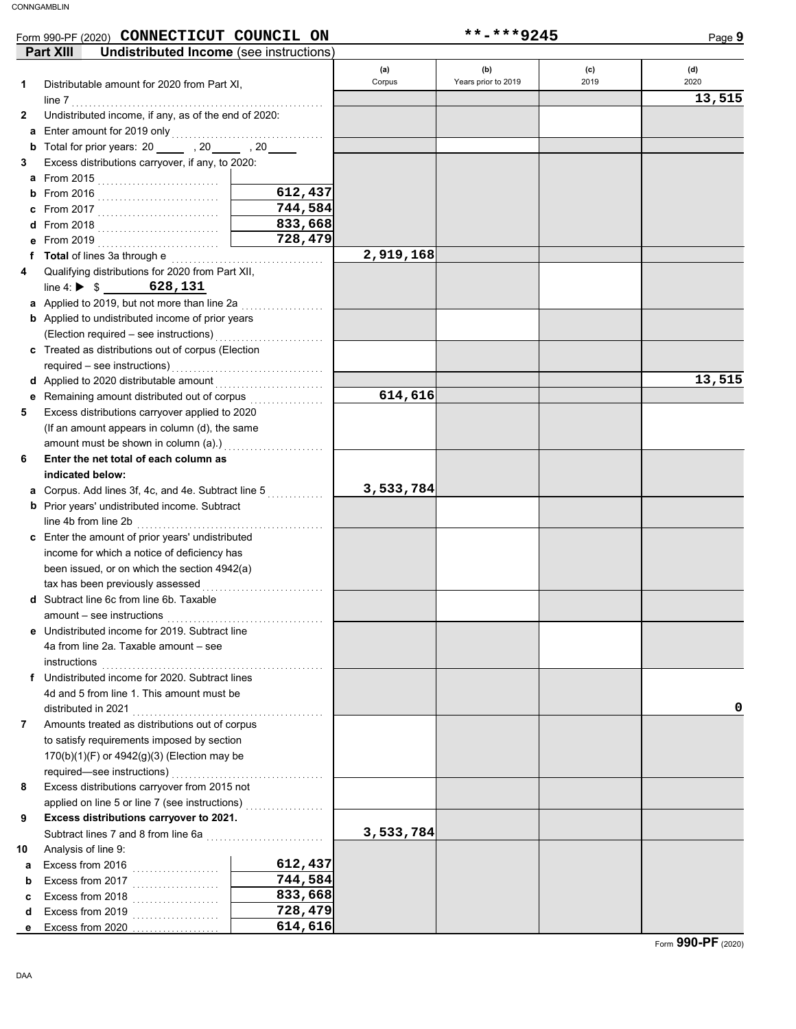#### required—see instructions) . . . . . . . . . . . . . . . . . . . . . . . . . . . . . . . . . . . From 2018 . . . . . . . . . . . . . . . . . . . . . . . . . . . . **d** Form 990-PF (2020) **CONNECTICUT COUNCIL ON \*\*-\*\*\*9245** From 2019 . . . . . . . . . . . . . . . . . . . . . . . . . . . . **e (a) (b) (c) (d)** Corpus Years prior to 2019 2019 2020 **a** Excess from 2016 . . . . . . . . . . . . . . . . . Excess from 2019 . . . . . . . . . . . . . . . . . . . . Excess from 2018 . . . . . . . . . . . . . . . . . . . . Excess from 2017 . . . . . . . . . . . . . . . . . . . . Analysis of line 9: Subtract lines 7 and 8 from line 6a ............................. applied on line 5 or line 7 (see instructions) ................... Excess distributions carryover from 2015 not 170(b)(1)(F) or 4942(g)(3) (Election may be to satisfy requirements imposed by section Amounts treated as distributions out of corpus distributed in 2021 4d and 5 from line 1. This amount must be Undistributed income for 2020. Subtract lines **f** instructions 4a from line 2a. Taxable amount – see Undistributed income for 2019. Subtract line **e** amount – see instructions Subtract line 6c from line 6b. Taxable **d** tax has been previously assessed . . . . . . . . . . . . . . . . . . . . . . . . . . . . been issued, or on which the section 4942(a) income for which a notice of deficiency has Enter the amount of prior years' undistributed **c** line 4b from line 2b . . . . . . . . . . . . . . . . . . . . . . . . . . . . . . . . . . . . . . . . . . . **b** Prior years' undistributed income. Subtract Corpus. Add lines 3f, 4c, and 4e. Subtract line 5 . . . . . . . . . . . . . **a** amount must be shown in column (a).) . . . . . . . . . . . . . . . . . . . . . . . (If an amount appears in column (d), the same Excess distributions carryover applied to 2020 Remaining amount distributed out of corpus . . . . . . . . . . . . . . . . . **e** Applied to 2020 distributable amount . . . . . . . . . . . . . . . . . . . . . . . . . **d** required – see instructions) . . . . . . . . . . . . . . . . . . . . . . . . . . . . . . . . . . . Treated as distributions out of corpus (Election **c** (Election required – see instructions) . . . . . . . . . . . . . . . . . . . . . . . . . **b** Applied to undistributed income of prior years **a** Applied to 2019, but not more than line 2a  $\ldots$  . . . . . . . . . . . .  $line 4. \triangleright \$$  628,131 Qualifying distributions for 2020 from Part XII, From 2015 . . . . . . . . . . . . . . . . . . . . . . . . . . . . **a** From 2017 . . . . . . . . . . . . . . . . . . . . . . . . . . . . **c** From 2016 . . . . . . . . . . . . . . . . . . . . . . . . . . . . **b** Excess distributions carryover, if any, to 2020: **b** Total for prior years: 20 , 20 , 20 Enter amount for 2019 only . . . . . . . . . . . . . . . . . . . . . . . . . . . . . . . . . . . **a** Undistributed income, if any, as of the end of 2020: line 7 . . . . . . . . . . . . . . . . . . . . . . . . . . . . . . . . . . . . . . . . . . . . . . . . . . . . . . . . . . Distributable amount for 2020 from Part XI, Page **9 d c b 10 9 Excess distributions carryover to 2021. 8 7 indicated below: 6 Enter the net total of each column as 5 4 Total** of lines 3a through e . . . . . . . . . . . . . . . . . . . . . . . . . . . . . . . . . . . **f 3 2 1 Part XIII Undistributed Income** (see instructions) **13,515 612,437 744,584 833,668 728,479 2,919,168 13,515 614,616 3,533,784 0 3,533,784 612,437 744,584 833,668 728,479 614,616**

Form **990-PF** (2020)

**e**

Excess from 2020.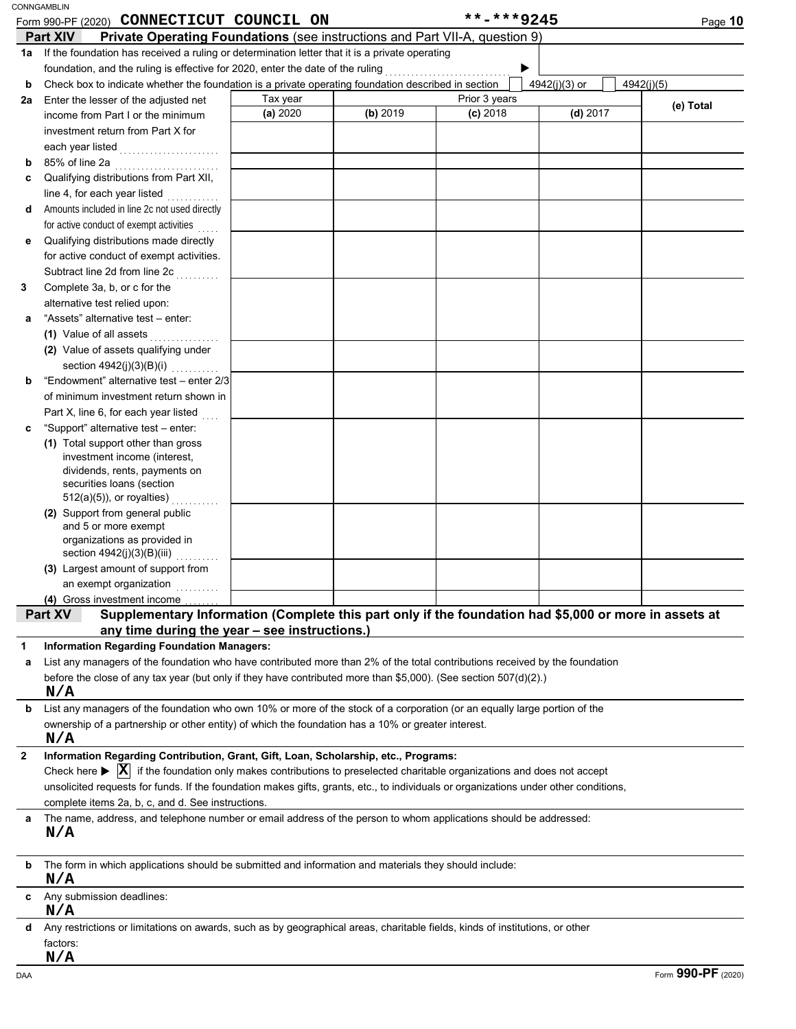| CONNGAMBLIN |
|-------------|
|             |

|              | Form 990-PF (2020) CONNECTICUT COUNCIL ON                                                                                                            |          |          | **-***9245    |               | Page 10    |
|--------------|------------------------------------------------------------------------------------------------------------------------------------------------------|----------|----------|---------------|---------------|------------|
|              | <b>Private Operating Foundations (see instructions and Part VII-A, question 9)</b><br><b>Part XIV</b>                                                |          |          |               |               |            |
|              | 1a If the foundation has received a ruling or determination letter that it is a private operating                                                    |          |          |               |               |            |
|              | foundation, and the ruling is effective for 2020, enter the date of the ruling                                                                       |          |          | .             |               |            |
| b            | Check box to indicate whether the foundation is a private operating foundation described in section                                                  |          |          |               | 4942(j)(3) or | 4942(j)(5) |
| 2a           | Enter the lesser of the adjusted net                                                                                                                 | Tax year |          | Prior 3 years |               |            |
|              | income from Part I or the minimum                                                                                                                    | (a) 2020 | (b) 2019 | $(c)$ 2018    | $(d)$ 2017    | (e) Total  |
|              | investment return from Part X for                                                                                                                    |          |          |               |               |            |
|              | each year listed                                                                                                                                     |          |          |               |               |            |
| b            | 85% of line 2a                                                                                                                                       |          |          |               |               |            |
| c            | Qualifying distributions from Part XII,                                                                                                              |          |          |               |               |            |
|              | line 4, for each year listed                                                                                                                         |          |          |               |               |            |
| d            | Amounts included in line 2c not used directly                                                                                                        |          |          |               |               |            |
|              | for active conduct of exempt activities<br>$\sim$                                                                                                    |          |          |               |               |            |
| е            | Qualifying distributions made directly                                                                                                               |          |          |               |               |            |
|              | for active conduct of exempt activities.                                                                                                             |          |          |               |               |            |
|              | Subtract line 2d from line 2c                                                                                                                        |          |          |               |               |            |
| 3            | Complete 3a, b, or c for the                                                                                                                         |          |          |               |               |            |
|              | alternative test relied upon:                                                                                                                        |          |          |               |               |            |
| a            | "Assets" alternative test - enter:                                                                                                                   |          |          |               |               |            |
|              | (1) Value of all assets                                                                                                                              |          |          |               |               |            |
|              | .<br>(2) Value of assets qualifying under                                                                                                            |          |          |               |               |            |
|              | section 4942(j)(3)(B)(i)<br>statistica                                                                                                               |          |          |               |               |            |
| b            | "Endowment" alternative test - enter 2/3                                                                                                             |          |          |               |               |            |
|              | of minimum investment return shown in                                                                                                                |          |          |               |               |            |
|              | Part X, line 6, for each year listed                                                                                                                 |          |          |               |               |            |
| c            | "Support" alternative test - enter:                                                                                                                  |          |          |               |               |            |
|              | (1) Total support other than gross                                                                                                                   |          |          |               |               |            |
|              | investment income (interest,                                                                                                                         |          |          |               |               |            |
|              | dividends, rents, payments on                                                                                                                        |          |          |               |               |            |
|              | securities loans (section                                                                                                                            |          |          |               |               |            |
|              | $512(a)(5)$ , or royalties)                                                                                                                          |          |          |               |               |            |
|              | (2) Support from general public                                                                                                                      |          |          |               |               |            |
|              | and 5 or more exempt<br>organizations as provided in                                                                                                 |          |          |               |               |            |
|              | section 4942(j)(3)(B)(iii)                                                                                                                           |          |          |               |               |            |
|              | (3) Largest amount of support from                                                                                                                   |          |          |               |               |            |
|              | an exempt organization                                                                                                                               |          |          |               |               |            |
|              | (4) Gross investment income                                                                                                                          |          |          |               |               |            |
|              | Supplementary Information (Complete this part only if the foundation had \$5,000 or more in assets at<br>Part XV                                     |          |          |               |               |            |
|              | any time during the year - see instructions.)                                                                                                        |          |          |               |               |            |
| 1            | <b>Information Regarding Foundation Managers:</b>                                                                                                    |          |          |               |               |            |
| а            | List any managers of the foundation who have contributed more than 2% of the total contributions received by the foundation                          |          |          |               |               |            |
|              | before the close of any tax year (but only if they have contributed more than \$5,000). (See section 507(d)(2).)                                     |          |          |               |               |            |
|              | N/A                                                                                                                                                  |          |          |               |               |            |
| b            | List any managers of the foundation who own 10% or more of the stock of a corporation (or an equally large portion of the                            |          |          |               |               |            |
|              | ownership of a partnership or other entity) of which the foundation has a 10% or greater interest.                                                   |          |          |               |               |            |
|              | N/A                                                                                                                                                  |          |          |               |               |            |
| $\mathbf{2}$ | Information Regarding Contribution, Grant, Gift, Loan, Scholarship, etc., Programs:                                                                  |          |          |               |               |            |
|              | Check here $\blacktriangleright$ $\mathbf{X}$ if the foundation only makes contributions to preselected charitable organizations and does not accept |          |          |               |               |            |
|              | unsolicited requests for funds. If the foundation makes gifts, grants, etc., to individuals or organizations under other conditions,                 |          |          |               |               |            |
|              | complete items 2a, b, c, and d. See instructions.                                                                                                    |          |          |               |               |            |
|              | The name, address, and telephone number or email address of the person to whom applications should be addressed:                                     |          |          |               |               |            |
|              | N/A                                                                                                                                                  |          |          |               |               |            |
|              |                                                                                                                                                      |          |          |               |               |            |
| b            | The form in which applications should be submitted and information and materials they should include:                                                |          |          |               |               |            |
|              | N/A                                                                                                                                                  |          |          |               |               |            |
|              | Any submission deadlines:                                                                                                                            |          |          |               |               |            |
|              | N/A                                                                                                                                                  |          |          |               |               |            |
| d            | Any restrictions or limitations on awards, such as by geographical areas, charitable fields, kinds of institutions, or other                         |          |          |               |               |            |
|              | factors:                                                                                                                                             |          |          |               |               |            |
|              | N/A                                                                                                                                                  |          |          |               |               |            |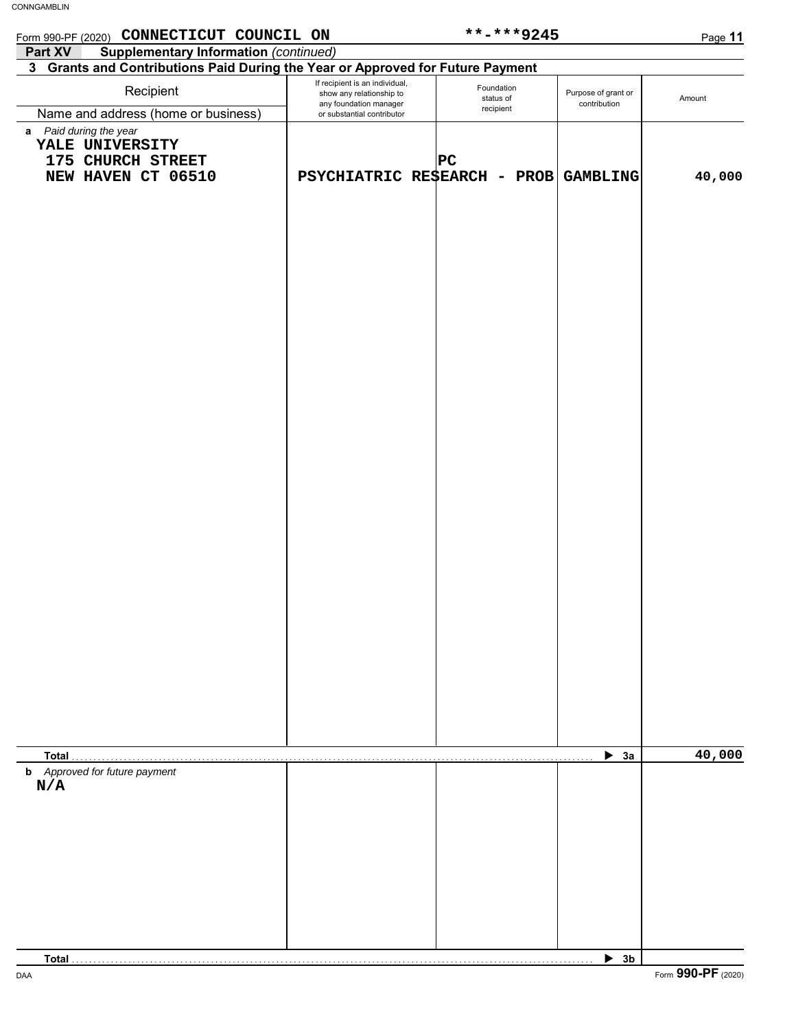| Form 990-PF (2020) CONNECTICUT COUNCIL ON                                            |                                                                                      | **-***9245                           |                                     | Page 11 |
|--------------------------------------------------------------------------------------|--------------------------------------------------------------------------------------|--------------------------------------|-------------------------------------|---------|
| <b>Supplementary Information (continued)</b><br>Part XV                              |                                                                                      |                                      |                                     |         |
| 3 Grants and Contributions Paid During the Year or Approved for Future Payment       |                                                                                      |                                      |                                     |         |
| Recipient                                                                            | If recipient is an individual,<br>show any relationship to<br>any foundation manager | Foundation<br>status of<br>recipient | Purpose of grant or<br>contribution | Amount  |
| Name and address (home or business)                                                  | or substantial contributor                                                           |                                      |                                     |         |
| a Paid during the year<br>YALE UNIVERSITY<br>175 CHURCH STREET<br>NEW HAVEN CT 06510 | PSYCHIATRIC RESEARCH - PROB GAMBLING                                                 | PC                                   |                                     | 40,000  |
|                                                                                      |                                                                                      |                                      |                                     |         |
|                                                                                      |                                                                                      |                                      |                                     |         |
|                                                                                      |                                                                                      |                                      |                                     |         |
|                                                                                      |                                                                                      |                                      |                                     |         |
|                                                                                      |                                                                                      |                                      |                                     |         |
|                                                                                      |                                                                                      |                                      |                                     |         |
|                                                                                      |                                                                                      |                                      |                                     |         |
|                                                                                      |                                                                                      |                                      |                                     |         |
|                                                                                      |                                                                                      |                                      |                                     |         |
|                                                                                      |                                                                                      |                                      |                                     |         |
|                                                                                      |                                                                                      |                                      |                                     |         |
|                                                                                      |                                                                                      |                                      |                                     |         |
|                                                                                      |                                                                                      |                                      |                                     |         |
|                                                                                      |                                                                                      |                                      |                                     |         |
|                                                                                      |                                                                                      |                                      |                                     |         |
|                                                                                      |                                                                                      |                                      |                                     |         |
|                                                                                      |                                                                                      |                                      |                                     |         |
|                                                                                      |                                                                                      |                                      |                                     |         |
|                                                                                      |                                                                                      |                                      |                                     |         |
|                                                                                      |                                                                                      |                                      |                                     |         |
|                                                                                      |                                                                                      |                                      |                                     |         |
|                                                                                      |                                                                                      |                                      |                                     |         |
|                                                                                      |                                                                                      |                                      |                                     |         |
|                                                                                      |                                                                                      |                                      |                                     |         |
|                                                                                      |                                                                                      |                                      |                                     |         |
|                                                                                      |                                                                                      |                                      |                                     |         |
|                                                                                      |                                                                                      |                                      |                                     |         |
|                                                                                      |                                                                                      |                                      |                                     |         |
|                                                                                      |                                                                                      |                                      |                                     |         |
| Total                                                                                |                                                                                      |                                      | $\blacktriangleright$ 3a            | 40,000  |
| <b>b</b> Approved for future payment                                                 |                                                                                      |                                      |                                     |         |
| N/A                                                                                  |                                                                                      |                                      |                                     |         |
|                                                                                      |                                                                                      |                                      |                                     |         |
|                                                                                      |                                                                                      |                                      |                                     |         |
|                                                                                      |                                                                                      |                                      |                                     |         |
|                                                                                      |                                                                                      |                                      |                                     |         |
|                                                                                      |                                                                                      |                                      |                                     |         |
|                                                                                      |                                                                                      |                                      |                                     |         |
|                                                                                      |                                                                                      |                                      |                                     |         |
|                                                                                      |                                                                                      |                                      |                                     |         |

 $\blacktriangleright$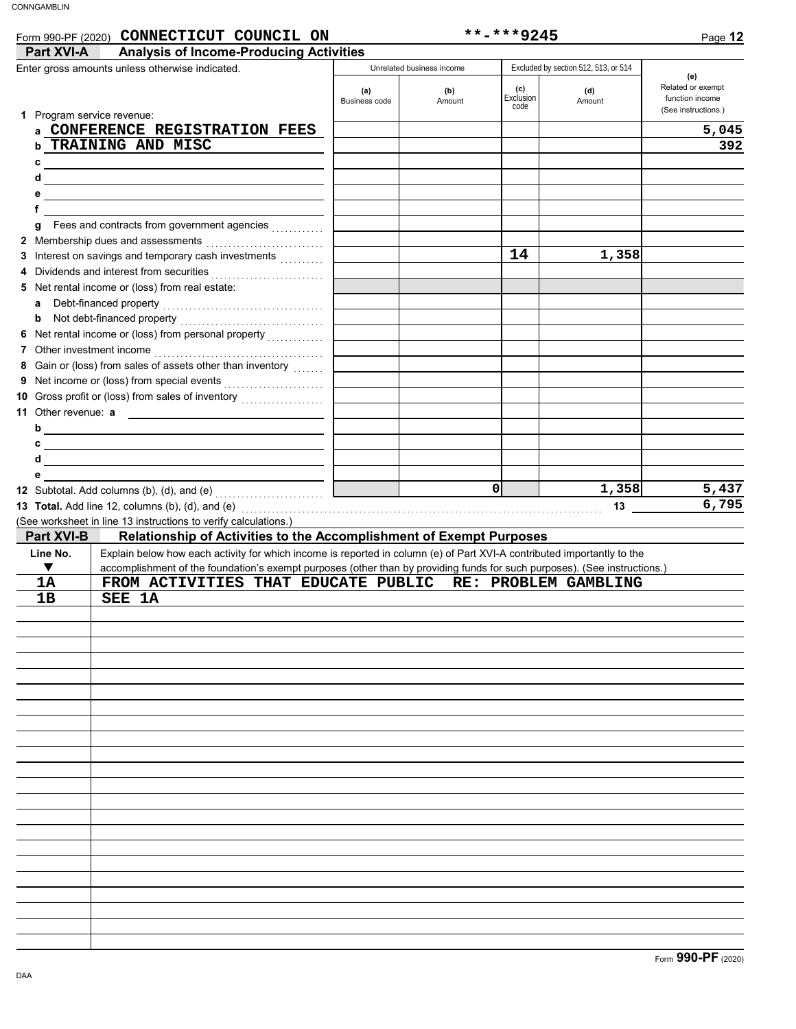**f e d c**

Dividends and interest from securities . . . . . . . . . . . . . . . . . . . . . . . . . . **4 3** Interest on savings and temporary cash investments *........*.. Membership dues and assessments . . . . . . . . . . . . . . . . . . . . . . . . . . . **2** Fees and contracts from government agencies . . . . . . . . . . . . **g**

| CONNECTICUT COUNCIL ON<br>Form 990-PF (2020)                        |                      |                           | $***$ -***9245           |                                      | Page 12                                                            |
|---------------------------------------------------------------------|----------------------|---------------------------|--------------------------|--------------------------------------|--------------------------------------------------------------------|
| <b>Analysis of Income-Producing Activities</b><br><b>Part XVI-A</b> |                      |                           |                          |                                      |                                                                    |
| Enter gross amounts unless otherwise indicated.                     |                      | Unrelated business income |                          | Excluded by section 512, 513, or 514 |                                                                    |
| Program service revenue:                                            | (a)<br>Business code | (b)<br>Amount             | (c)<br>Exclusion<br>code | (d)<br>Amount                        | (e)<br>Related or exempt<br>function income<br>(See instructions.) |
| CONFERENCE REGISTRATION FEES                                        |                      |                           |                          |                                      | 5,045                                                              |
| TRAINING AND MISC                                                   |                      |                           |                          |                                      | 392                                                                |

|                     | 5 Net rental income or (loss) from real estate:                                                                           |                      |       |       |
|---------------------|---------------------------------------------------------------------------------------------------------------------------|----------------------|-------|-------|
| a                   | Debt-financed property                                                                                                    |                      |       |       |
|                     |                                                                                                                           |                      |       |       |
|                     |                                                                                                                           |                      |       |       |
|                     |                                                                                                                           |                      |       |       |
|                     | 8 Gain or (loss) from sales of assets other than inventory                                                                |                      |       |       |
|                     |                                                                                                                           |                      |       |       |
|                     | 10 Gross profit or (loss) from sales of inventory                                                                         |                      |       |       |
| 11 Other revenue: a |                                                                                                                           |                      |       |       |
|                     | $b$ $\overline{\phantom{a}}$                                                                                              |                      |       |       |
|                     | $c \overline{\phantom{a}}$                                                                                                |                      |       |       |
|                     |                                                                                                                           |                      |       |       |
| e                   |                                                                                                                           |                      |       |       |
|                     |                                                                                                                           | $\Omega$             | 1,358 | 5,437 |
|                     | 13 Total. Add line 12, columns (b), (d), and (e) $\ldots$                                                                 |                      | 13    | 6,795 |
|                     | (See worksheet in line 13 instructions to verify calculations.)                                                           |                      |       |       |
| <b>Part XVI-B</b>   | Relationship of Activities to the Accomplishment of Exempt Purposes                                                       |                      |       |       |
| Line No.            | Explain below how each activity for which income is reported in column (e) of Part XVI-A contributed importantly to the   |                      |       |       |
| ▼                   | accomplishment of the foundation's exempt purposes (other than by providing funds for such purposes). (See instructions.) |                      |       |       |
| 1A                  | FROM ACTIVITIES THAT EDUCATE PUBLIC                                                                                       | RE: PROBLEM GAMBLING |       |       |
| 1B                  | SEE 1A                                                                                                                    |                      |       |       |
|                     |                                                                                                                           |                      |       |       |
|                     |                                                                                                                           |                      |       |       |
|                     |                                                                                                                           |                      |       |       |
|                     |                                                                                                                           |                      |       |       |
|                     |                                                                                                                           |                      |       |       |
|                     |                                                                                                                           |                      |       |       |
|                     |                                                                                                                           |                      |       |       |
|                     |                                                                                                                           |                      |       |       |
|                     |                                                                                                                           |                      |       |       |
|                     |                                                                                                                           |                      |       |       |
|                     |                                                                                                                           |                      |       |       |
|                     |                                                                                                                           |                      |       |       |
|                     |                                                                                                                           |                      |       |       |
|                     |                                                                                                                           |                      |       |       |
|                     |                                                                                                                           |                      |       |       |
|                     |                                                                                                                           |                      |       |       |
|                     |                                                                                                                           |                      |       |       |
|                     |                                                                                                                           |                      |       |       |
|                     |                                                                                                                           |                      |       |       |
|                     |                                                                                                                           |                      |       |       |
|                     |                                                                                                                           |                      |       |       |
|                     |                                                                                                                           |                      |       |       |
|                     |                                                                                                                           |                      |       |       |

**14 1,358**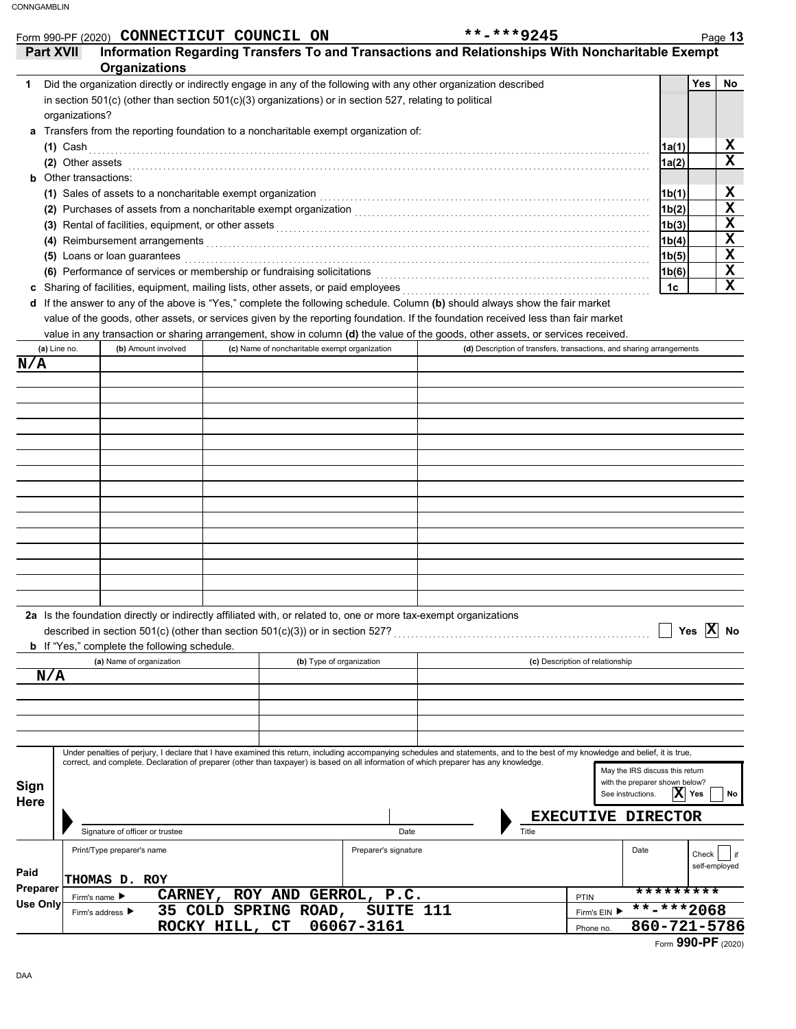| Information Regarding Transfers To and Transactions and Relationships With Noncharitable Exempt<br>Yes<br> 1a(1)<br>1a(2)<br>1b(1)<br>1b(2)<br>1b(3)<br>1b(4)<br>1b(5)<br>1b(6)<br>1c<br>(d) Description of transfers, transactions, and sharing arrangements |
|---------------------------------------------------------------------------------------------------------------------------------------------------------------------------------------------------------------------------------------------------------------|
|                                                                                                                                                                                                                                                               |
|                                                                                                                                                                                                                                                               |
|                                                                                                                                                                                                                                                               |
|                                                                                                                                                                                                                                                               |
|                                                                                                                                                                                                                                                               |
|                                                                                                                                                                                                                                                               |
|                                                                                                                                                                                                                                                               |
|                                                                                                                                                                                                                                                               |
|                                                                                                                                                                                                                                                               |
|                                                                                                                                                                                                                                                               |
|                                                                                                                                                                                                                                                               |
|                                                                                                                                                                                                                                                               |
|                                                                                                                                                                                                                                                               |
|                                                                                                                                                                                                                                                               |
|                                                                                                                                                                                                                                                               |
|                                                                                                                                                                                                                                                               |
|                                                                                                                                                                                                                                                               |
|                                                                                                                                                                                                                                                               |
|                                                                                                                                                                                                                                                               |
|                                                                                                                                                                                                                                                               |
|                                                                                                                                                                                                                                                               |
|                                                                                                                                                                                                                                                               |
|                                                                                                                                                                                                                                                               |
|                                                                                                                                                                                                                                                               |
|                                                                                                                                                                                                                                                               |
|                                                                                                                                                                                                                                                               |
|                                                                                                                                                                                                                                                               |
|                                                                                                                                                                                                                                                               |
|                                                                                                                                                                                                                                                               |
|                                                                                                                                                                                                                                                               |
|                                                                                                                                                                                                                                                               |
|                                                                                                                                                                                                                                                               |
|                                                                                                                                                                                                                                                               |
|                                                                                                                                                                                                                                                               |
|                                                                                                                                                                                                                                                               |
|                                                                                                                                                                                                                                                               |
|                                                                                                                                                                                                                                                               |
|                                                                                                                                                                                                                                                               |
| Yes $ X $ No                                                                                                                                                                                                                                                  |
|                                                                                                                                                                                                                                                               |
|                                                                                                                                                                                                                                                               |
|                                                                                                                                                                                                                                                               |
|                                                                                                                                                                                                                                                               |
|                                                                                                                                                                                                                                                               |
|                                                                                                                                                                                                                                                               |
|                                                                                                                                                                                                                                                               |
| Under penalties of perjury, I declare that I have examined this return, including accompanying schedules and statements, and to the best of my knowledge and belief, it is true,                                                                              |
| May the IRS discuss this return                                                                                                                                                                                                                               |
| with the preparer shown below?                                                                                                                                                                                                                                |
| $ \mathbf{X} $ Yes<br>See instructions.                                                                                                                                                                                                                       |
|                                                                                                                                                                                                                                                               |
|                                                                                                                                                                                                                                                               |
| <b>EXECUTIVE DIRECTOR</b>                                                                                                                                                                                                                                     |
|                                                                                                                                                                                                                                                               |
| Check                                                                                                                                                                                                                                                         |
| self-employed                                                                                                                                                                                                                                                 |
| *********                                                                                                                                                                                                                                                     |
|                                                                                                                                                                                                                                                               |

Phone no.

**ROCKY HILL, CT** 06067-3161 **1999 120 120 121-5786**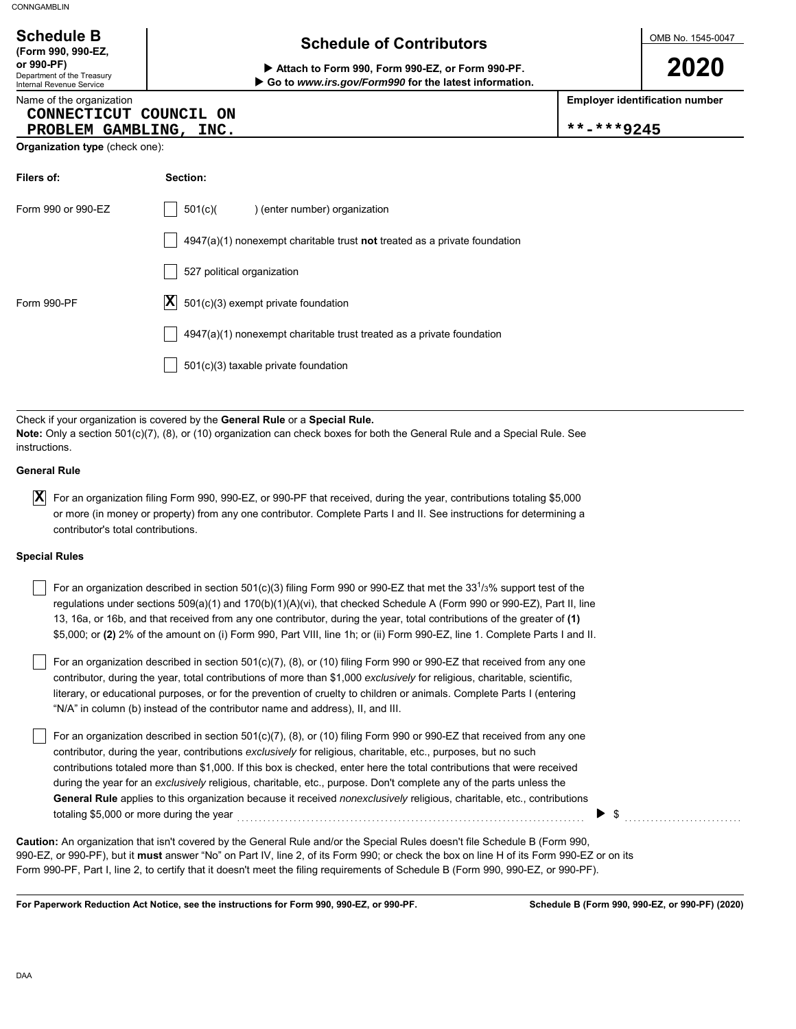Department of the Treasury Internal Revenue Service

**(Form 990, 990-EZ,**

## **Schedule of Contributors Schedule B**

**or 990-PF) Attach to Form 990, Form 990-EZ, or Form 990-PF. Go to** *www.irs.gov/Form990* **for the latest information.** OMB No. 1545-0047

**2020**

**Employer identification number**

| Name of the organization | <b>Employer identifica</b> |
|--------------------------|----------------------------|
| CONNECTICUT COUNCIL ON   |                            |
| PROBLEM GAMBLING, INC.   | **-***9245                 |

| Organization type (check one): |  |  |
|--------------------------------|--|--|
|                                |  |  |

| Filers of:         | Section:                                                                           |
|--------------------|------------------------------------------------------------------------------------|
| Form 990 or 990-EZ | 501(c)<br>) (enter number) organization                                            |
|                    | $4947(a)(1)$ nonexempt charitable trust <b>not</b> treated as a private foundation |
|                    | 527 political organization                                                         |
| Form 990-PF        | $ \mathbf{X} $ 501(c)(3) exempt private foundation                                 |
|                    | 4947(a)(1) nonexempt charitable trust treated as a private foundation              |
|                    | 501(c)(3) taxable private foundation                                               |

Check if your organization is covered by the **General Rule** or a **Special Rule. Note:** Only a section 501(c)(7), (8), or (10) organization can check boxes for both the General Rule and a Special Rule. See instructions.

### **General Rule**

 $\overline{\textbf{X}}$  For an organization filing Form 990, 990-EZ, or 990-PF that received, during the year, contributions totaling \$5,000 or more (in money or property) from any one contributor. Complete Parts I and II. See instructions for determining a contributor's total contributions.

### **Special Rules**

|  | For an organization described in section 501(c)(3) filing Form 990 or 990-EZ that met the 33 <sup>1</sup> /3% support test of the |
|--|-----------------------------------------------------------------------------------------------------------------------------------|
|  | regulations under sections $509(a)(1)$ and $170(b)(1)(A)(vi)$ , that checked Schedule A (Form 990 or 990-EZ), Part II, line       |
|  | 13, 16a, or 16b, and that received from any one contributor, during the year, total contributions of the greater of (1)           |
|  | \$5,000; or (2) 2% of the amount on (i) Form 990, Part VIII, line 1h; or (ii) Form 990-EZ, line 1. Complete Parts I and II.       |

literary, or educational purposes, or for the prevention of cruelty to children or animals. Complete Parts I (entering For an organization described in section 501(c)(7), (8), or (10) filing Form 990 or 990-EZ that received from any one contributor, during the year, total contributions of more than \$1,000 *exclusively* for religious, charitable, scientific, "N/A" in column (b) instead of the contributor name and address), II, and III.

For an organization described in section 501(c)(7), (8), or (10) filing Form 990 or 990-EZ that received from any one contributor, during the year, contributions *exclusively* for religious, charitable, etc., purposes, but no such contributions totaled more than \$1,000. If this box is checked, enter here the total contributions that were received during the year for an *exclusively* religious, charitable, etc., purpose. Don't complete any of the parts unless the **General Rule** applies to this organization because it received *nonexclusively* religious, charitable, etc., contributions totaling \$5,000 or more during the year  $\ldots$   $\ldots$   $\ldots$   $\ldots$   $\ldots$   $\ldots$   $\ldots$   $\ldots$   $\ldots$ 

990-EZ, or 990-PF), but it **must** answer "No" on Part IV, line 2, of its Form 990; or check the box on line H of its Form 990-EZ or on its Form 990-PF, Part I, line 2, to certify that it doesn't meet the filing requirements of Schedule B (Form 990, 990-EZ, or 990-PF). **Caution:** An organization that isn't covered by the General Rule and/or the Special Rules doesn't file Schedule B (Form 990,

**For Paperwork Reduction Act Notice, see the instructions for Form 990, 990-EZ, or 990-PF.**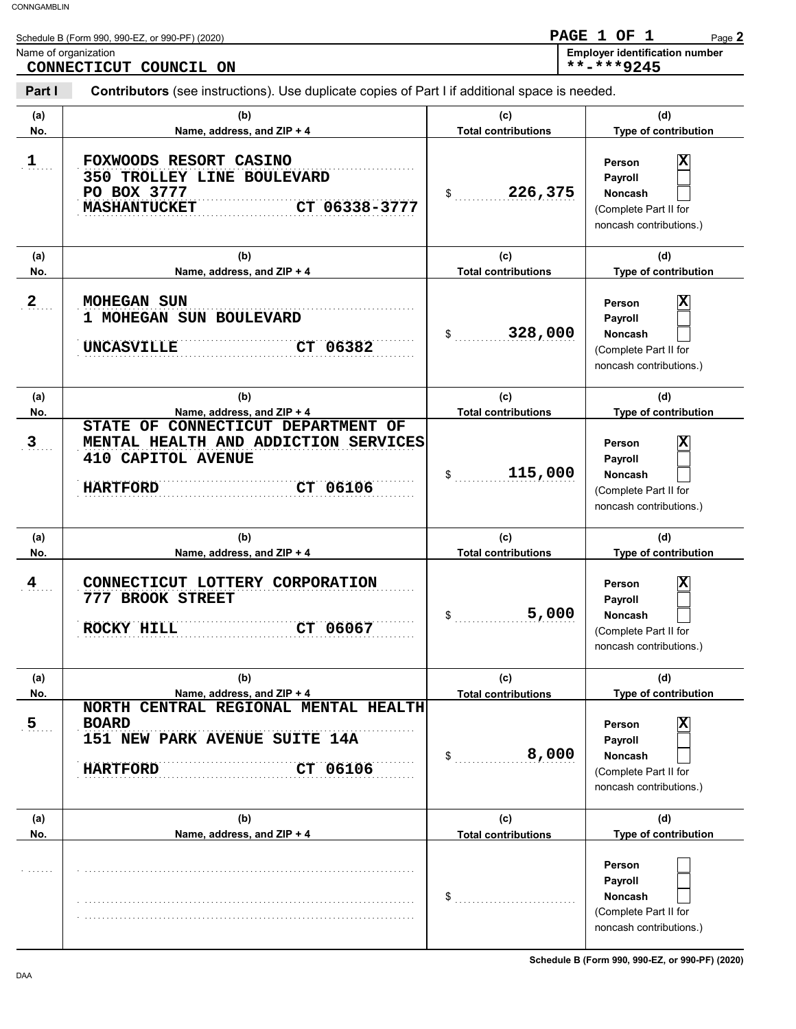|                      | Schedule B (Form 990, 990-EZ, or 990-PF) (2020)                                                                                    |                                   | - 1<br>PAGE 1 OF<br>Page 2                                                                                         |
|----------------------|------------------------------------------------------------------------------------------------------------------------------------|-----------------------------------|--------------------------------------------------------------------------------------------------------------------|
| Name of organization | CONNECTICUT COUNCIL ON                                                                                                             |                                   | <b>Employer identification number</b><br>**-***9245                                                                |
| Part I               | <b>Contributors</b> (see instructions). Use duplicate copies of Part I if additional space is needed.                              |                                   |                                                                                                                    |
| (a)<br>No.           | (b)<br>Name, address, and ZIP + 4                                                                                                  | (c)<br><b>Total contributions</b> | (d)<br>Type of contribution                                                                                        |
| $\mathbf{1}$         | FOXWOODS RESORT CASINO<br>350 TROLLEY LINE BOULEVARD<br>PO BOX 3777<br>CT 06338-3777<br><b>MASHANTUCKET</b>                        | 226,375<br>\$                     | ΙX<br>Person<br>Payroll<br><b>Noncash</b><br>(Complete Part II for<br>noncash contributions.)                      |
| (a)<br>No.           | (b)<br>Name, address, and ZIP + 4                                                                                                  | (c)<br><b>Total contributions</b> | (d)<br>Type of contribution                                                                                        |
| $2_{\ldots}$         | <b>MOHEGAN SUN</b><br>1 MOHEGAN SUN BOULEVARD<br>CT 06382<br><b>UNCASVILLE</b>                                                     | 328,000<br>\$                     | $\overline{\mathbf{x}}$<br>Person<br>Payroll<br><b>Noncash</b><br>(Complete Part II for<br>noncash contributions.) |
| (a)<br>No.           | (b)<br>Name, address, and ZIP + 4                                                                                                  | (c)<br><b>Total contributions</b> | (d)<br>Type of contribution                                                                                        |
| $\mathbf{3}$         | CONNECTICUT DEPARTMENT OF<br>STATE OF<br>MENTAL HEALTH AND ADDICTION SERVICES<br>410 CAPITOL AVENUE<br>CT 06106<br><b>HARTFORD</b> | 115,000<br>\$                     | x<br>Person<br>Payroll<br><b>Noncash</b><br>(Complete Part II for<br>noncash contributions.)                       |
| (a)<br>No.           | (b)<br>Name, address, and ZIP + 4                                                                                                  | (c)<br><b>Total contributions</b> | (d)<br>Type of contribution                                                                                        |
| 4                    | CONNECTICUT LOTTERY CORPORATION<br>777 BROOK STREET<br>CT 06067<br>ROCKY HILL                                                      | 5,000<br>\$                       | X<br>Person<br>Payroll<br>Noncash<br>(Complete Part II for<br>noncash contributions.)                              |
| (a)                  | (b)                                                                                                                                | (c)                               | (d)                                                                                                                |
| No.                  | Name, address, and ZIP + 4                                                                                                         | <b>Total contributions</b>        | Type of contribution                                                                                               |
| 5                    | NORTH CENTRAL REGIONAL MENTAL HEALTH<br><b>BOARD</b><br>151 NEW PARK AVENUE SUITE 14A<br>06106<br>CT<br><b>HARTFORD</b>            | 8,000<br>\$                       | X<br>Person<br>Payroll<br>Noncash<br>(Complete Part II for<br>noncash contributions.)                              |
| (a)<br>No.           | (b)<br>Name, address, and ZIP + 4                                                                                                  | (c)<br><b>Total contributions</b> | (d)<br>Type of contribution                                                                                        |
|                      |                                                                                                                                    | \$                                | Person<br>Payroll<br>Noncash<br>(Complete Part II for<br>noncash contributions.)                                   |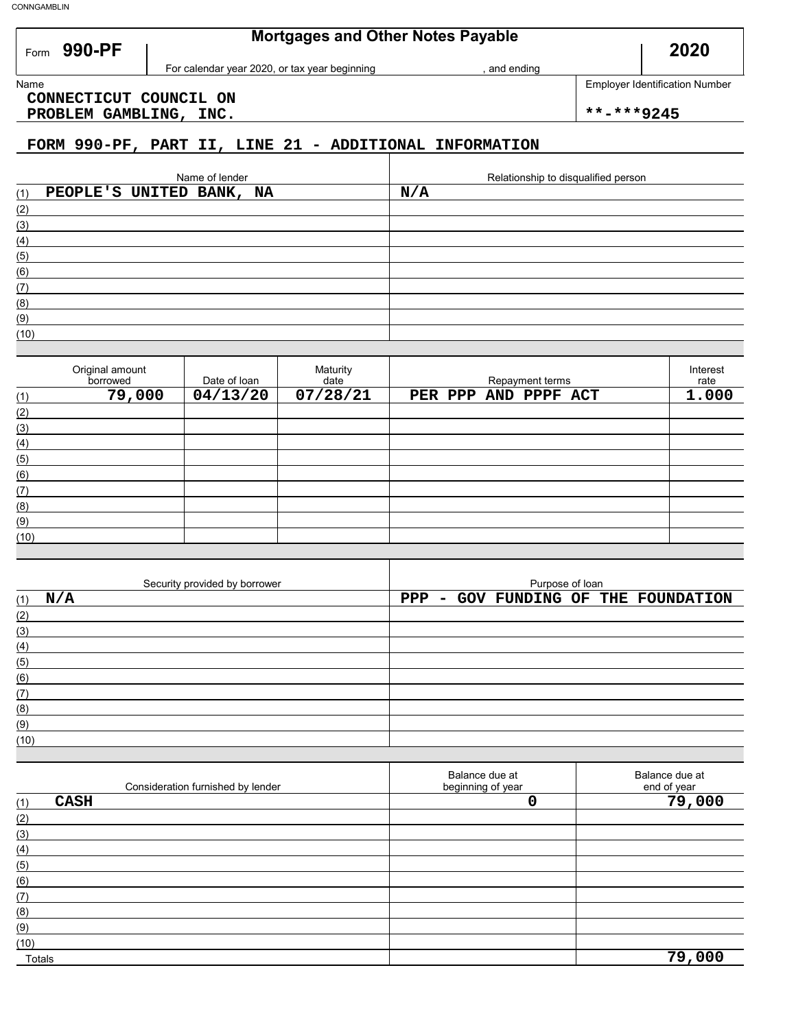Form 990-PF

### **Mortgages and Other Notes Payable**

and ending

**2020**

Name **Employer Identification Number CONNECTICUT COUNCIL ON**

PROBLEM GAMBLING, INC.  $\vert$  \*\*-\*\*\*9245

### **FORM 990-PF, PART II, LINE 21 - ADDITIONAL INFORMATION**

For calendar year 2020, or tax year beginning

| Name of lender                  | Relationship to disqualified person |
|---------------------------------|-------------------------------------|
| PEOPLE'S UNITED BANK, NA<br>(1) | N/A                                 |
| (2)                             |                                     |
| (3)                             |                                     |
| (4)                             |                                     |
| (5)                             |                                     |
| (6)                             |                                     |
| (7)                             |                                     |
| (8)                             |                                     |
| (9)                             |                                     |
| (10)                            |                                     |

|      | Original amount<br>borrowed | Date of loan | Maturity<br>date | Repayment terms      | Interest<br>rate |
|------|-----------------------------|--------------|------------------|----------------------|------------------|
| (1)  | 79,000                      | 04/13/20     | 07/28/21         | PER PPP AND PPPF ACT | 1.000            |
| (2)  |                             |              |                  |                      |                  |
| (3)  |                             |              |                  |                      |                  |
| (4)  |                             |              |                  |                      |                  |
| (5)  |                             |              |                  |                      |                  |
| (6)  |                             |              |                  |                      |                  |
| (7)  |                             |              |                  |                      |                  |
| (8)  |                             |              |                  |                      |                  |
| (9)  |                             |              |                  |                      |                  |
| (10) |                             |              |                  |                      |                  |

|      | Security provided by borrower |  | Purpose of loan |  |                                     |
|------|-------------------------------|--|-----------------|--|-------------------------------------|
| (1)  | N/A                           |  |                 |  | PPP - GOV FUNDING OF THE FOUNDATION |
| (2)  |                               |  |                 |  |                                     |
| (3)  |                               |  |                 |  |                                     |
| (4)  |                               |  |                 |  |                                     |
| (5)  |                               |  |                 |  |                                     |
| (6)  |                               |  |                 |  |                                     |
| (7)  |                               |  |                 |  |                                     |
| (8)  |                               |  |                 |  |                                     |
| (9)  |                               |  |                 |  |                                     |
| (10) |                               |  |                 |  |                                     |

|        | Consideration furnished by lender | Balance due at<br>beginning of year | Balance due at<br>end of year |
|--------|-----------------------------------|-------------------------------------|-------------------------------|
| (1)    | <b>CASH</b>                       |                                     | 79,000                        |
| (2)    |                                   |                                     |                               |
| (3)    |                                   |                                     |                               |
| (4)    |                                   |                                     |                               |
| (5)    |                                   |                                     |                               |
| (6)    |                                   |                                     |                               |
| (7)    |                                   |                                     |                               |
| (8)    |                                   |                                     |                               |
| (9)    |                                   |                                     |                               |
| (10)   |                                   |                                     |                               |
| Totals |                                   |                                     | 79,000                        |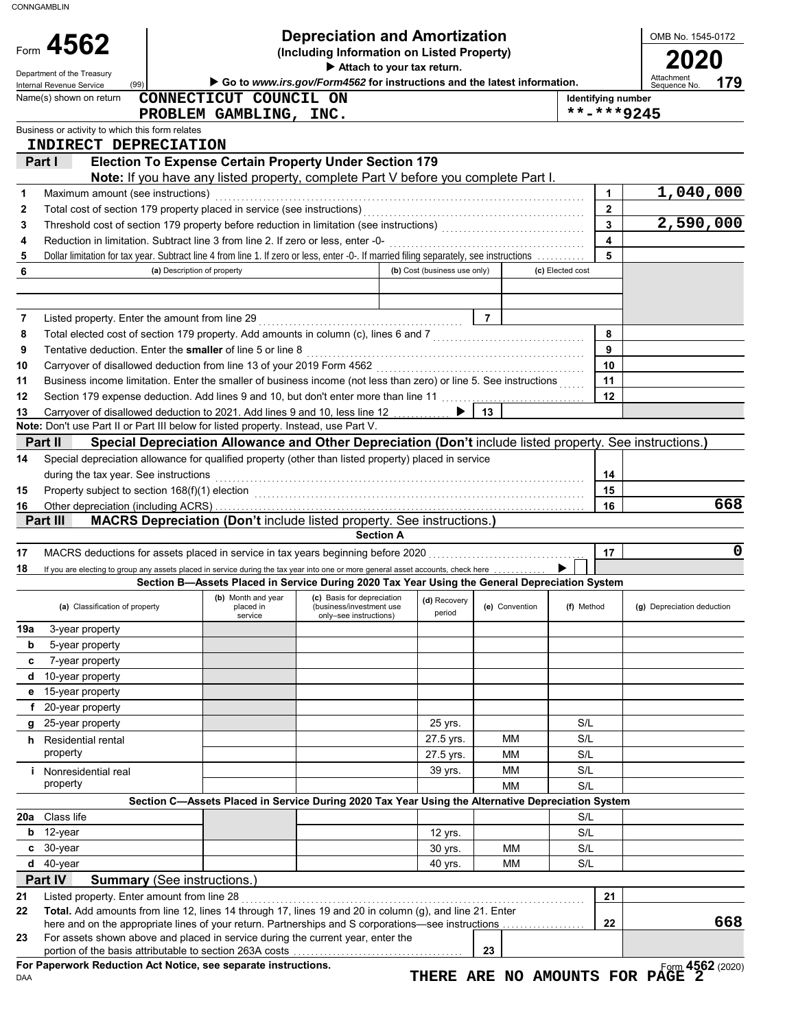| Go to www.irs.gov/Form4562 for instructions and the latest information.<br>Internal Revenue Service<br>CONNECTICUT COUNCIL ON<br>Name(s) shown on return<br><b>Identifying number</b><br>**-***9245<br>PROBLEM GAMBLING, INC.<br>Business or activity to which this form relates<br><b>INDIRECT DEPRECIATION</b><br><b>Election To Expense Certain Property Under Section 179</b><br>Part I<br>Note: If you have any listed property, complete Part V before you complete Part I.<br>$\mathbf{1}$<br>Maximum amount (see instructions)<br>1<br>$\mathbf{2}$<br>2<br>$\mathbf{3}$<br>3<br>$\overline{\mathbf{4}}$<br>Reduction in limitation. Subtract line 3 from line 2. If zero or less, enter -0-<br>4<br>5<br>Dollar limitation for tax year. Subtract line 4 from line 1. If zero or less, enter -0-. If married filing separately, see instructions<br>5<br>6<br>(b) Cost (business use only)<br>(c) Elected cost<br>(a) Description of property<br><u> 17   T</u><br>Listed property. Enter the amount from line 29<br>7<br>8<br>Total elected cost of section 179 property. Add amounts in column (c), lines 6 and 7 [[[[[[[[[[[[[[[[[[[[[[[[<br>8<br>9<br>Tentative deduction. Enter the smaller of line 5 or line 8 [11] Content Content of the Superior Content of the Superior Content of the Superior Content of the Superior Content of the Superior Content of the Superior Conten<br>9<br>10<br>10<br>11<br>Business income limitation. Enter the smaller of business income (not less than zero) or line 5. See instructions<br>11<br>12<br>Section 179 expense deduction. Add lines 9 and 10, but don't enter more than line 11<br>12<br>Carryover of disallowed deduction to 2021. Add lines 9 and 10, less line 12<br>13<br>13<br>Special Depreciation Allowance and Other Depreciation (Don't include listed property. See instructions.)<br>Part II<br>Special depreciation allowance for qualified property (other than listed property) placed in service<br>14<br>during the tax year. See instructions<br>14<br>15<br>15<br>16<br>16<br><b>MACRS Depreciation (Don't include listed property. See instructions.)</b><br>Part III<br><b>Section A</b><br>17<br>17<br>18<br>If you are electing to group any assets placed in service during the tax year into one or more general asset accounts, check here<br>Section B-Assets Placed in Service During 2020 Tax Year Using the General Depreciation System<br>(b) Month and year<br>(c) Basis for depreciation<br>(d) Recovery<br>(a) Classification of property<br>(f) Method<br>placed in<br>(business/investment use<br>(e) Convention<br>period<br>service<br>only-see instructions)<br>19a<br>3-year property<br>b<br>5-year property<br>7-year property<br>c<br>10-year property<br>d<br>15-year property<br>е<br>f<br>20-year property<br>25-year property<br>S/L<br>25 yrs.<br>g<br>27.5 yrs.<br>S/L<br>мм<br><b>h</b> Residential rental<br>property<br>S/L<br>27.5 yrs.<br>ΜМ<br>39 yrs.<br>ΜМ<br>S/L<br><i>i</i> Nonresidential real<br>property<br>ΜМ<br>S/L<br>Section C-Assets Placed in Service During 2020 Tax Year Using the Alternative Depreciation System<br>Class life<br>20a<br>S/L<br>12-year<br>S/L<br>b<br>12 yrs.<br>30-year<br>МM<br>S/L<br>c<br>30 yrs.<br>40-year<br>d<br>МM<br>S/L<br>40 yrs.<br>Part IV<br><b>Summary</b> (See instructions.)<br>21 | Form 4562<br>Department of the Treasury | <b>Depreciation and Amortization</b><br>(Including Information on Listed Property)<br>Attach to your tax return. |  |  | OMB No. 1545-0172<br>Attachment<br>179 |
|----------------------------------------------------------------------------------------------------------------------------------------------------------------------------------------------------------------------------------------------------------------------------------------------------------------------------------------------------------------------------------------------------------------------------------------------------------------------------------------------------------------------------------------------------------------------------------------------------------------------------------------------------------------------------------------------------------------------------------------------------------------------------------------------------------------------------------------------------------------------------------------------------------------------------------------------------------------------------------------------------------------------------------------------------------------------------------------------------------------------------------------------------------------------------------------------------------------------------------------------------------------------------------------------------------------------------------------------------------------------------------------------------------------------------------------------------------------------------------------------------------------------------------------------------------------------------------------------------------------------------------------------------------------------------------------------------------------------------------------------------------------------------------------------------------------------------------------------------------------------------------------------------------------------------------------------------------------------------------------------------------------------------------------------------------------------------------------------------------------------------------------------------------------------------------------------------------------------------------------------------------------------------------------------------------------------------------------------------------------------------------------------------------------------------------------------------------------------------------------------------------------------------------------------------------------------------------------------------------------------------------------------------------------------------------------------------------------------------------------------------------------------------------------------------------------------------------------------------------------------------------------------------------------------------------------------------------------------------------------------------------------------------------------------------------------------------------------------------------------------------------------------------------------------------------------------------------------------------------------------------------------------------------------------------------------------------------------------------------------|-----------------------------------------|------------------------------------------------------------------------------------------------------------------|--|--|----------------------------------------|
| Note: Don't use Part II or Part III below for listed property. Instead, use Part V.<br>21                                                                                                                                                                                                                                                                                                                                                                                                                                                                                                                                                                                                                                                                                                                                                                                                                                                                                                                                                                                                                                                                                                                                                                                                                                                                                                                                                                                                                                                                                                                                                                                                                                                                                                                                                                                                                                                                                                                                                                                                                                                                                                                                                                                                                                                                                                                                                                                                                                                                                                                                                                                                                                                                                                                                                                                                                                                                                                                                                                                                                                                                                                                                                                                                                                                                      | (99)                                    |                                                                                                                  |  |  | Sequence No                            |
|                                                                                                                                                                                                                                                                                                                                                                                                                                                                                                                                                                                                                                                                                                                                                                                                                                                                                                                                                                                                                                                                                                                                                                                                                                                                                                                                                                                                                                                                                                                                                                                                                                                                                                                                                                                                                                                                                                                                                                                                                                                                                                                                                                                                                                                                                                                                                                                                                                                                                                                                                                                                                                                                                                                                                                                                                                                                                                                                                                                                                                                                                                                                                                                                                                                                                                                                                                |                                         |                                                                                                                  |  |  |                                        |
|                                                                                                                                                                                                                                                                                                                                                                                                                                                                                                                                                                                                                                                                                                                                                                                                                                                                                                                                                                                                                                                                                                                                                                                                                                                                                                                                                                                                                                                                                                                                                                                                                                                                                                                                                                                                                                                                                                                                                                                                                                                                                                                                                                                                                                                                                                                                                                                                                                                                                                                                                                                                                                                                                                                                                                                                                                                                                                                                                                                                                                                                                                                                                                                                                                                                                                                                                                |                                         |                                                                                                                  |  |  |                                        |
|                                                                                                                                                                                                                                                                                                                                                                                                                                                                                                                                                                                                                                                                                                                                                                                                                                                                                                                                                                                                                                                                                                                                                                                                                                                                                                                                                                                                                                                                                                                                                                                                                                                                                                                                                                                                                                                                                                                                                                                                                                                                                                                                                                                                                                                                                                                                                                                                                                                                                                                                                                                                                                                                                                                                                                                                                                                                                                                                                                                                                                                                                                                                                                                                                                                                                                                                                                |                                         |                                                                                                                  |  |  |                                        |
|                                                                                                                                                                                                                                                                                                                                                                                                                                                                                                                                                                                                                                                                                                                                                                                                                                                                                                                                                                                                                                                                                                                                                                                                                                                                                                                                                                                                                                                                                                                                                                                                                                                                                                                                                                                                                                                                                                                                                                                                                                                                                                                                                                                                                                                                                                                                                                                                                                                                                                                                                                                                                                                                                                                                                                                                                                                                                                                                                                                                                                                                                                                                                                                                                                                                                                                                                                |                                         |                                                                                                                  |  |  |                                        |
|                                                                                                                                                                                                                                                                                                                                                                                                                                                                                                                                                                                                                                                                                                                                                                                                                                                                                                                                                                                                                                                                                                                                                                                                                                                                                                                                                                                                                                                                                                                                                                                                                                                                                                                                                                                                                                                                                                                                                                                                                                                                                                                                                                                                                                                                                                                                                                                                                                                                                                                                                                                                                                                                                                                                                                                                                                                                                                                                                                                                                                                                                                                                                                                                                                                                                                                                                                |                                         |                                                                                                                  |  |  |                                        |
|                                                                                                                                                                                                                                                                                                                                                                                                                                                                                                                                                                                                                                                                                                                                                                                                                                                                                                                                                                                                                                                                                                                                                                                                                                                                                                                                                                                                                                                                                                                                                                                                                                                                                                                                                                                                                                                                                                                                                                                                                                                                                                                                                                                                                                                                                                                                                                                                                                                                                                                                                                                                                                                                                                                                                                                                                                                                                                                                                                                                                                                                                                                                                                                                                                                                                                                                                                |                                         |                                                                                                                  |  |  | 1,040,000                              |
|                                                                                                                                                                                                                                                                                                                                                                                                                                                                                                                                                                                                                                                                                                                                                                                                                                                                                                                                                                                                                                                                                                                                                                                                                                                                                                                                                                                                                                                                                                                                                                                                                                                                                                                                                                                                                                                                                                                                                                                                                                                                                                                                                                                                                                                                                                                                                                                                                                                                                                                                                                                                                                                                                                                                                                                                                                                                                                                                                                                                                                                                                                                                                                                                                                                                                                                                                                |                                         |                                                                                                                  |  |  | 2,590,000                              |
|                                                                                                                                                                                                                                                                                                                                                                                                                                                                                                                                                                                                                                                                                                                                                                                                                                                                                                                                                                                                                                                                                                                                                                                                                                                                                                                                                                                                                                                                                                                                                                                                                                                                                                                                                                                                                                                                                                                                                                                                                                                                                                                                                                                                                                                                                                                                                                                                                                                                                                                                                                                                                                                                                                                                                                                                                                                                                                                                                                                                                                                                                                                                                                                                                                                                                                                                                                |                                         |                                                                                                                  |  |  |                                        |
|                                                                                                                                                                                                                                                                                                                                                                                                                                                                                                                                                                                                                                                                                                                                                                                                                                                                                                                                                                                                                                                                                                                                                                                                                                                                                                                                                                                                                                                                                                                                                                                                                                                                                                                                                                                                                                                                                                                                                                                                                                                                                                                                                                                                                                                                                                                                                                                                                                                                                                                                                                                                                                                                                                                                                                                                                                                                                                                                                                                                                                                                                                                                                                                                                                                                                                                                                                |                                         |                                                                                                                  |  |  |                                        |
|                                                                                                                                                                                                                                                                                                                                                                                                                                                                                                                                                                                                                                                                                                                                                                                                                                                                                                                                                                                                                                                                                                                                                                                                                                                                                                                                                                                                                                                                                                                                                                                                                                                                                                                                                                                                                                                                                                                                                                                                                                                                                                                                                                                                                                                                                                                                                                                                                                                                                                                                                                                                                                                                                                                                                                                                                                                                                                                                                                                                                                                                                                                                                                                                                                                                                                                                                                |                                         |                                                                                                                  |  |  |                                        |
|                                                                                                                                                                                                                                                                                                                                                                                                                                                                                                                                                                                                                                                                                                                                                                                                                                                                                                                                                                                                                                                                                                                                                                                                                                                                                                                                                                                                                                                                                                                                                                                                                                                                                                                                                                                                                                                                                                                                                                                                                                                                                                                                                                                                                                                                                                                                                                                                                                                                                                                                                                                                                                                                                                                                                                                                                                                                                                                                                                                                                                                                                                                                                                                                                                                                                                                                                                |                                         |                                                                                                                  |  |  |                                        |
|                                                                                                                                                                                                                                                                                                                                                                                                                                                                                                                                                                                                                                                                                                                                                                                                                                                                                                                                                                                                                                                                                                                                                                                                                                                                                                                                                                                                                                                                                                                                                                                                                                                                                                                                                                                                                                                                                                                                                                                                                                                                                                                                                                                                                                                                                                                                                                                                                                                                                                                                                                                                                                                                                                                                                                                                                                                                                                                                                                                                                                                                                                                                                                                                                                                                                                                                                                |                                         |                                                                                                                  |  |  |                                        |
|                                                                                                                                                                                                                                                                                                                                                                                                                                                                                                                                                                                                                                                                                                                                                                                                                                                                                                                                                                                                                                                                                                                                                                                                                                                                                                                                                                                                                                                                                                                                                                                                                                                                                                                                                                                                                                                                                                                                                                                                                                                                                                                                                                                                                                                                                                                                                                                                                                                                                                                                                                                                                                                                                                                                                                                                                                                                                                                                                                                                                                                                                                                                                                                                                                                                                                                                                                |                                         |                                                                                                                  |  |  |                                        |
|                                                                                                                                                                                                                                                                                                                                                                                                                                                                                                                                                                                                                                                                                                                                                                                                                                                                                                                                                                                                                                                                                                                                                                                                                                                                                                                                                                                                                                                                                                                                                                                                                                                                                                                                                                                                                                                                                                                                                                                                                                                                                                                                                                                                                                                                                                                                                                                                                                                                                                                                                                                                                                                                                                                                                                                                                                                                                                                                                                                                                                                                                                                                                                                                                                                                                                                                                                |                                         |                                                                                                                  |  |  |                                        |
|                                                                                                                                                                                                                                                                                                                                                                                                                                                                                                                                                                                                                                                                                                                                                                                                                                                                                                                                                                                                                                                                                                                                                                                                                                                                                                                                                                                                                                                                                                                                                                                                                                                                                                                                                                                                                                                                                                                                                                                                                                                                                                                                                                                                                                                                                                                                                                                                                                                                                                                                                                                                                                                                                                                                                                                                                                                                                                                                                                                                                                                                                                                                                                                                                                                                                                                                                                |                                         |                                                                                                                  |  |  |                                        |
|                                                                                                                                                                                                                                                                                                                                                                                                                                                                                                                                                                                                                                                                                                                                                                                                                                                                                                                                                                                                                                                                                                                                                                                                                                                                                                                                                                                                                                                                                                                                                                                                                                                                                                                                                                                                                                                                                                                                                                                                                                                                                                                                                                                                                                                                                                                                                                                                                                                                                                                                                                                                                                                                                                                                                                                                                                                                                                                                                                                                                                                                                                                                                                                                                                                                                                                                                                |                                         |                                                                                                                  |  |  |                                        |
|                                                                                                                                                                                                                                                                                                                                                                                                                                                                                                                                                                                                                                                                                                                                                                                                                                                                                                                                                                                                                                                                                                                                                                                                                                                                                                                                                                                                                                                                                                                                                                                                                                                                                                                                                                                                                                                                                                                                                                                                                                                                                                                                                                                                                                                                                                                                                                                                                                                                                                                                                                                                                                                                                                                                                                                                                                                                                                                                                                                                                                                                                                                                                                                                                                                                                                                                                                |                                         |                                                                                                                  |  |  |                                        |
|                                                                                                                                                                                                                                                                                                                                                                                                                                                                                                                                                                                                                                                                                                                                                                                                                                                                                                                                                                                                                                                                                                                                                                                                                                                                                                                                                                                                                                                                                                                                                                                                                                                                                                                                                                                                                                                                                                                                                                                                                                                                                                                                                                                                                                                                                                                                                                                                                                                                                                                                                                                                                                                                                                                                                                                                                                                                                                                                                                                                                                                                                                                                                                                                                                                                                                                                                                |                                         |                                                                                                                  |  |  |                                        |
|                                                                                                                                                                                                                                                                                                                                                                                                                                                                                                                                                                                                                                                                                                                                                                                                                                                                                                                                                                                                                                                                                                                                                                                                                                                                                                                                                                                                                                                                                                                                                                                                                                                                                                                                                                                                                                                                                                                                                                                                                                                                                                                                                                                                                                                                                                                                                                                                                                                                                                                                                                                                                                                                                                                                                                                                                                                                                                                                                                                                                                                                                                                                                                                                                                                                                                                                                                |                                         |                                                                                                                  |  |  |                                        |
|                                                                                                                                                                                                                                                                                                                                                                                                                                                                                                                                                                                                                                                                                                                                                                                                                                                                                                                                                                                                                                                                                                                                                                                                                                                                                                                                                                                                                                                                                                                                                                                                                                                                                                                                                                                                                                                                                                                                                                                                                                                                                                                                                                                                                                                                                                                                                                                                                                                                                                                                                                                                                                                                                                                                                                                                                                                                                                                                                                                                                                                                                                                                                                                                                                                                                                                                                                |                                         |                                                                                                                  |  |  |                                        |
|                                                                                                                                                                                                                                                                                                                                                                                                                                                                                                                                                                                                                                                                                                                                                                                                                                                                                                                                                                                                                                                                                                                                                                                                                                                                                                                                                                                                                                                                                                                                                                                                                                                                                                                                                                                                                                                                                                                                                                                                                                                                                                                                                                                                                                                                                                                                                                                                                                                                                                                                                                                                                                                                                                                                                                                                                                                                                                                                                                                                                                                                                                                                                                                                                                                                                                                                                                |                                         |                                                                                                                  |  |  |                                        |
|                                                                                                                                                                                                                                                                                                                                                                                                                                                                                                                                                                                                                                                                                                                                                                                                                                                                                                                                                                                                                                                                                                                                                                                                                                                                                                                                                                                                                                                                                                                                                                                                                                                                                                                                                                                                                                                                                                                                                                                                                                                                                                                                                                                                                                                                                                                                                                                                                                                                                                                                                                                                                                                                                                                                                                                                                                                                                                                                                                                                                                                                                                                                                                                                                                                                                                                                                                |                                         |                                                                                                                  |  |  |                                        |
|                                                                                                                                                                                                                                                                                                                                                                                                                                                                                                                                                                                                                                                                                                                                                                                                                                                                                                                                                                                                                                                                                                                                                                                                                                                                                                                                                                                                                                                                                                                                                                                                                                                                                                                                                                                                                                                                                                                                                                                                                                                                                                                                                                                                                                                                                                                                                                                                                                                                                                                                                                                                                                                                                                                                                                                                                                                                                                                                                                                                                                                                                                                                                                                                                                                                                                                                                                |                                         |                                                                                                                  |  |  |                                        |
|                                                                                                                                                                                                                                                                                                                                                                                                                                                                                                                                                                                                                                                                                                                                                                                                                                                                                                                                                                                                                                                                                                                                                                                                                                                                                                                                                                                                                                                                                                                                                                                                                                                                                                                                                                                                                                                                                                                                                                                                                                                                                                                                                                                                                                                                                                                                                                                                                                                                                                                                                                                                                                                                                                                                                                                                                                                                                                                                                                                                                                                                                                                                                                                                                                                                                                                                                                |                                         |                                                                                                                  |  |  | 668                                    |
|                                                                                                                                                                                                                                                                                                                                                                                                                                                                                                                                                                                                                                                                                                                                                                                                                                                                                                                                                                                                                                                                                                                                                                                                                                                                                                                                                                                                                                                                                                                                                                                                                                                                                                                                                                                                                                                                                                                                                                                                                                                                                                                                                                                                                                                                                                                                                                                                                                                                                                                                                                                                                                                                                                                                                                                                                                                                                                                                                                                                                                                                                                                                                                                                                                                                                                                                                                |                                         |                                                                                                                  |  |  |                                        |
|                                                                                                                                                                                                                                                                                                                                                                                                                                                                                                                                                                                                                                                                                                                                                                                                                                                                                                                                                                                                                                                                                                                                                                                                                                                                                                                                                                                                                                                                                                                                                                                                                                                                                                                                                                                                                                                                                                                                                                                                                                                                                                                                                                                                                                                                                                                                                                                                                                                                                                                                                                                                                                                                                                                                                                                                                                                                                                                                                                                                                                                                                                                                                                                                                                                                                                                                                                |                                         |                                                                                                                  |  |  |                                        |
|                                                                                                                                                                                                                                                                                                                                                                                                                                                                                                                                                                                                                                                                                                                                                                                                                                                                                                                                                                                                                                                                                                                                                                                                                                                                                                                                                                                                                                                                                                                                                                                                                                                                                                                                                                                                                                                                                                                                                                                                                                                                                                                                                                                                                                                                                                                                                                                                                                                                                                                                                                                                                                                                                                                                                                                                                                                                                                                                                                                                                                                                                                                                                                                                                                                                                                                                                                |                                         |                                                                                                                  |  |  | 0                                      |
|                                                                                                                                                                                                                                                                                                                                                                                                                                                                                                                                                                                                                                                                                                                                                                                                                                                                                                                                                                                                                                                                                                                                                                                                                                                                                                                                                                                                                                                                                                                                                                                                                                                                                                                                                                                                                                                                                                                                                                                                                                                                                                                                                                                                                                                                                                                                                                                                                                                                                                                                                                                                                                                                                                                                                                                                                                                                                                                                                                                                                                                                                                                                                                                                                                                                                                                                                                |                                         |                                                                                                                  |  |  |                                        |
|                                                                                                                                                                                                                                                                                                                                                                                                                                                                                                                                                                                                                                                                                                                                                                                                                                                                                                                                                                                                                                                                                                                                                                                                                                                                                                                                                                                                                                                                                                                                                                                                                                                                                                                                                                                                                                                                                                                                                                                                                                                                                                                                                                                                                                                                                                                                                                                                                                                                                                                                                                                                                                                                                                                                                                                                                                                                                                                                                                                                                                                                                                                                                                                                                                                                                                                                                                |                                         |                                                                                                                  |  |  |                                        |
|                                                                                                                                                                                                                                                                                                                                                                                                                                                                                                                                                                                                                                                                                                                                                                                                                                                                                                                                                                                                                                                                                                                                                                                                                                                                                                                                                                                                                                                                                                                                                                                                                                                                                                                                                                                                                                                                                                                                                                                                                                                                                                                                                                                                                                                                                                                                                                                                                                                                                                                                                                                                                                                                                                                                                                                                                                                                                                                                                                                                                                                                                                                                                                                                                                                                                                                                                                |                                         |                                                                                                                  |  |  | (g) Depreciation deduction             |
|                                                                                                                                                                                                                                                                                                                                                                                                                                                                                                                                                                                                                                                                                                                                                                                                                                                                                                                                                                                                                                                                                                                                                                                                                                                                                                                                                                                                                                                                                                                                                                                                                                                                                                                                                                                                                                                                                                                                                                                                                                                                                                                                                                                                                                                                                                                                                                                                                                                                                                                                                                                                                                                                                                                                                                                                                                                                                                                                                                                                                                                                                                                                                                                                                                                                                                                                                                |                                         |                                                                                                                  |  |  |                                        |
|                                                                                                                                                                                                                                                                                                                                                                                                                                                                                                                                                                                                                                                                                                                                                                                                                                                                                                                                                                                                                                                                                                                                                                                                                                                                                                                                                                                                                                                                                                                                                                                                                                                                                                                                                                                                                                                                                                                                                                                                                                                                                                                                                                                                                                                                                                                                                                                                                                                                                                                                                                                                                                                                                                                                                                                                                                                                                                                                                                                                                                                                                                                                                                                                                                                                                                                                                                |                                         |                                                                                                                  |  |  |                                        |
|                                                                                                                                                                                                                                                                                                                                                                                                                                                                                                                                                                                                                                                                                                                                                                                                                                                                                                                                                                                                                                                                                                                                                                                                                                                                                                                                                                                                                                                                                                                                                                                                                                                                                                                                                                                                                                                                                                                                                                                                                                                                                                                                                                                                                                                                                                                                                                                                                                                                                                                                                                                                                                                                                                                                                                                                                                                                                                                                                                                                                                                                                                                                                                                                                                                                                                                                                                |                                         |                                                                                                                  |  |  |                                        |
|                                                                                                                                                                                                                                                                                                                                                                                                                                                                                                                                                                                                                                                                                                                                                                                                                                                                                                                                                                                                                                                                                                                                                                                                                                                                                                                                                                                                                                                                                                                                                                                                                                                                                                                                                                                                                                                                                                                                                                                                                                                                                                                                                                                                                                                                                                                                                                                                                                                                                                                                                                                                                                                                                                                                                                                                                                                                                                                                                                                                                                                                                                                                                                                                                                                                                                                                                                |                                         |                                                                                                                  |  |  |                                        |
|                                                                                                                                                                                                                                                                                                                                                                                                                                                                                                                                                                                                                                                                                                                                                                                                                                                                                                                                                                                                                                                                                                                                                                                                                                                                                                                                                                                                                                                                                                                                                                                                                                                                                                                                                                                                                                                                                                                                                                                                                                                                                                                                                                                                                                                                                                                                                                                                                                                                                                                                                                                                                                                                                                                                                                                                                                                                                                                                                                                                                                                                                                                                                                                                                                                                                                                                                                |                                         |                                                                                                                  |  |  |                                        |
|                                                                                                                                                                                                                                                                                                                                                                                                                                                                                                                                                                                                                                                                                                                                                                                                                                                                                                                                                                                                                                                                                                                                                                                                                                                                                                                                                                                                                                                                                                                                                                                                                                                                                                                                                                                                                                                                                                                                                                                                                                                                                                                                                                                                                                                                                                                                                                                                                                                                                                                                                                                                                                                                                                                                                                                                                                                                                                                                                                                                                                                                                                                                                                                                                                                                                                                                                                |                                         |                                                                                                                  |  |  |                                        |
|                                                                                                                                                                                                                                                                                                                                                                                                                                                                                                                                                                                                                                                                                                                                                                                                                                                                                                                                                                                                                                                                                                                                                                                                                                                                                                                                                                                                                                                                                                                                                                                                                                                                                                                                                                                                                                                                                                                                                                                                                                                                                                                                                                                                                                                                                                                                                                                                                                                                                                                                                                                                                                                                                                                                                                                                                                                                                                                                                                                                                                                                                                                                                                                                                                                                                                                                                                |                                         |                                                                                                                  |  |  |                                        |
|                                                                                                                                                                                                                                                                                                                                                                                                                                                                                                                                                                                                                                                                                                                                                                                                                                                                                                                                                                                                                                                                                                                                                                                                                                                                                                                                                                                                                                                                                                                                                                                                                                                                                                                                                                                                                                                                                                                                                                                                                                                                                                                                                                                                                                                                                                                                                                                                                                                                                                                                                                                                                                                                                                                                                                                                                                                                                                                                                                                                                                                                                                                                                                                                                                                                                                                                                                |                                         |                                                                                                                  |  |  |                                        |
|                                                                                                                                                                                                                                                                                                                                                                                                                                                                                                                                                                                                                                                                                                                                                                                                                                                                                                                                                                                                                                                                                                                                                                                                                                                                                                                                                                                                                                                                                                                                                                                                                                                                                                                                                                                                                                                                                                                                                                                                                                                                                                                                                                                                                                                                                                                                                                                                                                                                                                                                                                                                                                                                                                                                                                                                                                                                                                                                                                                                                                                                                                                                                                                                                                                                                                                                                                |                                         |                                                                                                                  |  |  |                                        |
|                                                                                                                                                                                                                                                                                                                                                                                                                                                                                                                                                                                                                                                                                                                                                                                                                                                                                                                                                                                                                                                                                                                                                                                                                                                                                                                                                                                                                                                                                                                                                                                                                                                                                                                                                                                                                                                                                                                                                                                                                                                                                                                                                                                                                                                                                                                                                                                                                                                                                                                                                                                                                                                                                                                                                                                                                                                                                                                                                                                                                                                                                                                                                                                                                                                                                                                                                                |                                         |                                                                                                                  |  |  |                                        |
|                                                                                                                                                                                                                                                                                                                                                                                                                                                                                                                                                                                                                                                                                                                                                                                                                                                                                                                                                                                                                                                                                                                                                                                                                                                                                                                                                                                                                                                                                                                                                                                                                                                                                                                                                                                                                                                                                                                                                                                                                                                                                                                                                                                                                                                                                                                                                                                                                                                                                                                                                                                                                                                                                                                                                                                                                                                                                                                                                                                                                                                                                                                                                                                                                                                                                                                                                                |                                         |                                                                                                                  |  |  |                                        |
|                                                                                                                                                                                                                                                                                                                                                                                                                                                                                                                                                                                                                                                                                                                                                                                                                                                                                                                                                                                                                                                                                                                                                                                                                                                                                                                                                                                                                                                                                                                                                                                                                                                                                                                                                                                                                                                                                                                                                                                                                                                                                                                                                                                                                                                                                                                                                                                                                                                                                                                                                                                                                                                                                                                                                                                                                                                                                                                                                                                                                                                                                                                                                                                                                                                                                                                                                                |                                         |                                                                                                                  |  |  |                                        |
|                                                                                                                                                                                                                                                                                                                                                                                                                                                                                                                                                                                                                                                                                                                                                                                                                                                                                                                                                                                                                                                                                                                                                                                                                                                                                                                                                                                                                                                                                                                                                                                                                                                                                                                                                                                                                                                                                                                                                                                                                                                                                                                                                                                                                                                                                                                                                                                                                                                                                                                                                                                                                                                                                                                                                                                                                                                                                                                                                                                                                                                                                                                                                                                                                                                                                                                                                                |                                         |                                                                                                                  |  |  |                                        |
|                                                                                                                                                                                                                                                                                                                                                                                                                                                                                                                                                                                                                                                                                                                                                                                                                                                                                                                                                                                                                                                                                                                                                                                                                                                                                                                                                                                                                                                                                                                                                                                                                                                                                                                                                                                                                                                                                                                                                                                                                                                                                                                                                                                                                                                                                                                                                                                                                                                                                                                                                                                                                                                                                                                                                                                                                                                                                                                                                                                                                                                                                                                                                                                                                                                                                                                                                                |                                         |                                                                                                                  |  |  |                                        |
|                                                                                                                                                                                                                                                                                                                                                                                                                                                                                                                                                                                                                                                                                                                                                                                                                                                                                                                                                                                                                                                                                                                                                                                                                                                                                                                                                                                                                                                                                                                                                                                                                                                                                                                                                                                                                                                                                                                                                                                                                                                                                                                                                                                                                                                                                                                                                                                                                                                                                                                                                                                                                                                                                                                                                                                                                                                                                                                                                                                                                                                                                                                                                                                                                                                                                                                                                                |                                         |                                                                                                                  |  |  |                                        |
|                                                                                                                                                                                                                                                                                                                                                                                                                                                                                                                                                                                                                                                                                                                                                                                                                                                                                                                                                                                                                                                                                                                                                                                                                                                                                                                                                                                                                                                                                                                                                                                                                                                                                                                                                                                                                                                                                                                                                                                                                                                                                                                                                                                                                                                                                                                                                                                                                                                                                                                                                                                                                                                                                                                                                                                                                                                                                                                                                                                                                                                                                                                                                                                                                                                                                                                                                                |                                         |                                                                                                                  |  |  |                                        |
|                                                                                                                                                                                                                                                                                                                                                                                                                                                                                                                                                                                                                                                                                                                                                                                                                                                                                                                                                                                                                                                                                                                                                                                                                                                                                                                                                                                                                                                                                                                                                                                                                                                                                                                                                                                                                                                                                                                                                                                                                                                                                                                                                                                                                                                                                                                                                                                                                                                                                                                                                                                                                                                                                                                                                                                                                                                                                                                                                                                                                                                                                                                                                                                                                                                                                                                                                                |                                         |                                                                                                                  |  |  |                                        |
|                                                                                                                                                                                                                                                                                                                                                                                                                                                                                                                                                                                                                                                                                                                                                                                                                                                                                                                                                                                                                                                                                                                                                                                                                                                                                                                                                                                                                                                                                                                                                                                                                                                                                                                                                                                                                                                                                                                                                                                                                                                                                                                                                                                                                                                                                                                                                                                                                                                                                                                                                                                                                                                                                                                                                                                                                                                                                                                                                                                                                                                                                                                                                                                                                                                                                                                                                                |                                         |                                                                                                                  |  |  |                                        |
| Total. Add amounts from line 12, lines 14 through 17, lines 19 and 20 in column (g), and line 21. Enter<br>22<br>22                                                                                                                                                                                                                                                                                                                                                                                                                                                                                                                                                                                                                                                                                                                                                                                                                                                                                                                                                                                                                                                                                                                                                                                                                                                                                                                                                                                                                                                                                                                                                                                                                                                                                                                                                                                                                                                                                                                                                                                                                                                                                                                                                                                                                                                                                                                                                                                                                                                                                                                                                                                                                                                                                                                                                                                                                                                                                                                                                                                                                                                                                                                                                                                                                                            |                                         |                                                                                                                  |  |  |                                        |

portion of the basis attributable to section 263A costs **For Paperwork Reduction Act Notice, see separate instructions.**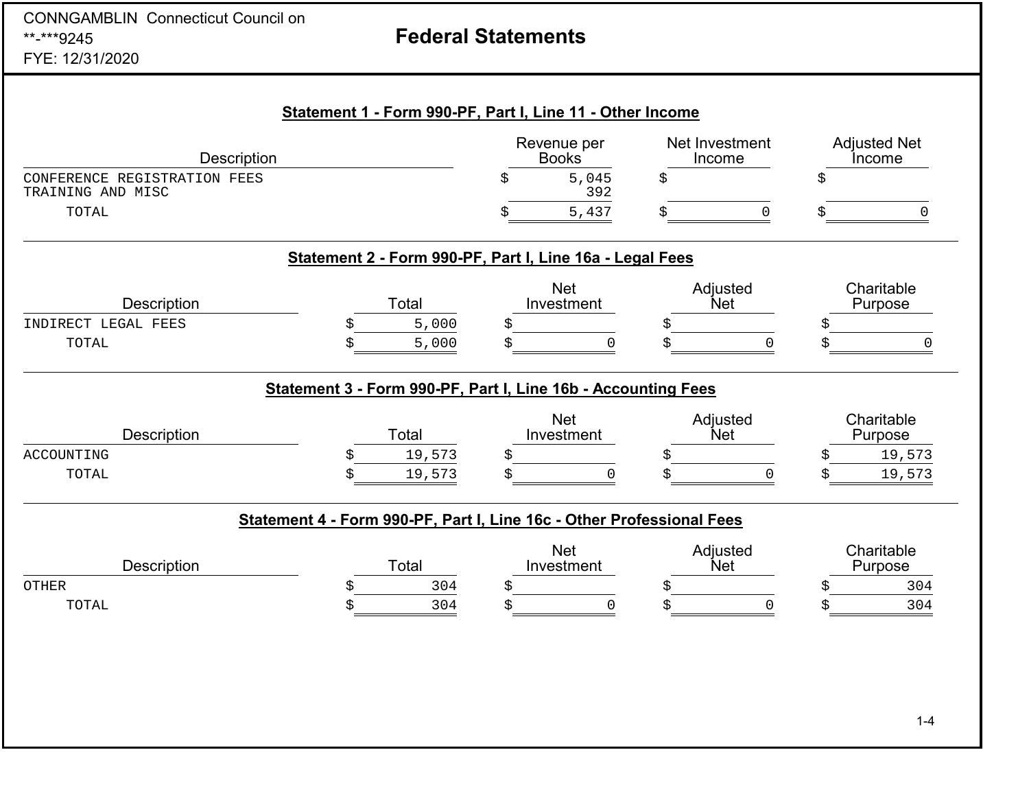| <b>CONNGAMBLIN Connecticut Council on</b><br>**-***9245 |                                                                       | <b>Federal Statements</b>   |                          |                               |
|---------------------------------------------------------|-----------------------------------------------------------------------|-----------------------------|--------------------------|-------------------------------|
| FYE: 12/31/2020                                         |                                                                       |                             |                          |                               |
|                                                         | Statement 1 - Form 990-PF, Part I, Line 11 - Other Income             |                             |                          |                               |
| <b>Description</b>                                      |                                                                       | Revenue per<br><b>Books</b> | Net Investment<br>Income | <b>Adjusted Net</b><br>Income |
| CONFERENCE REGISTRATION FEES<br>TRAINING AND MISC       |                                                                       | 5,045<br>392                | Ś                        |                               |
| TOTAL                                                   |                                                                       | 5,437                       | $\Omega$                 | $\Omega$                      |
|                                                         | Statement 2 - Form 990-PF, Part I, Line 16a - Legal Fees              |                             |                          |                               |
| <b>Description</b>                                      | Total                                                                 | <b>Net</b><br>Investment    | Adjusted<br><b>Net</b>   | Charitable<br>Purpose         |
| INDIRECT LEGAL FEES<br>TOTAL                            | 5,000<br>5,000<br>Ś                                                   | \$<br>\$<br>$\Omega$        | $\Omega$<br>Ś            | \$<br>0<br>Ś                  |
|                                                         | Statement 3 - Form 990-PF, Part I, Line 16b - Accounting Fees         |                             |                          |                               |
| <b>Description</b>                                      | Total                                                                 | <b>Net</b><br>Investment    | Adjusted<br><b>Net</b>   | Charitable<br>Purpose         |
| ACCOUNTING                                              | 19,573                                                                | \$                          |                          | 19,573<br>Ś                   |
| TOTAL                                                   | 19,573                                                                | \$<br>$\Omega$              | $\Omega$                 | 19,573<br>Ś                   |
|                                                         | Statement 4 - Form 990-PF, Part I, Line 16c - Other Professional Fees |                             |                          |                               |
| <b>Description</b>                                      | Total                                                                 | <b>Net</b><br>Investment    | Adjusted<br><b>Net</b>   | Charitable<br>Purpose         |
| OTHER                                                   | 304                                                                   | S                           | S                        | 304<br>S                      |
| TOTAL                                                   | 304                                                                   | 0<br>S                      | 0                        | 304                           |
|                                                         |                                                                       |                             |                          |                               |
|                                                         |                                                                       |                             |                          |                               |
|                                                         |                                                                       |                             |                          |                               |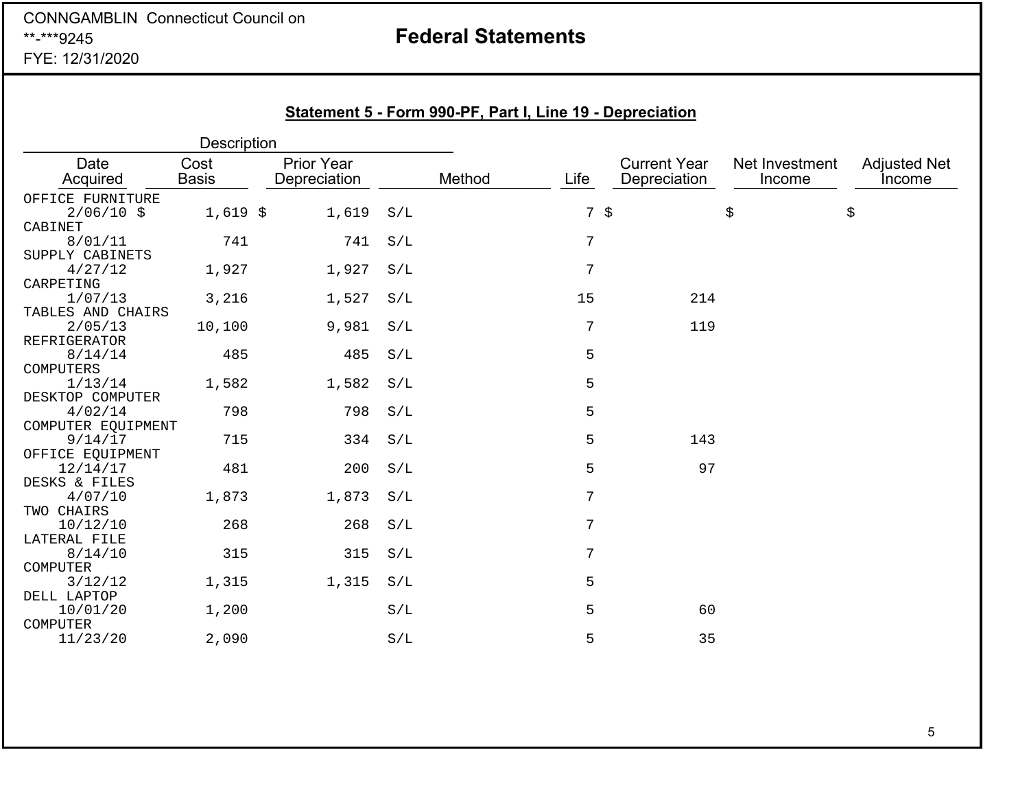### CONNGAMBLIN Connecticut Council on \*\*-\*\*\*9245FYE: 12/31/2020

# **Federal Statements**

|                           | <b>Description</b>   |                            |     |        |                 |                                     |                          |                               |
|---------------------------|----------------------|----------------------------|-----|--------|-----------------|-------------------------------------|--------------------------|-------------------------------|
| Date<br>Acquired          | Cost<br><b>Basis</b> | Prior Year<br>Depreciation |     | Method | Life            | <b>Current Year</b><br>Depreciation | Net Investment<br>Income | <b>Adjusted Net</b><br>Income |
| OFFICE FURNITURE          |                      |                            |     |        |                 |                                     |                          |                               |
| $2/06/10$ \$              | $1,619$ \$           | 1,619                      | S/L |        | $7 \text{ }$ \$ |                                     | \$                       | \$                            |
| CABINET                   |                      |                            |     |        |                 |                                     |                          |                               |
| 8/01/11                   | 741                  | 741                        | S/L |        | 7               |                                     |                          |                               |
| SUPPLY CABINETS           |                      |                            |     |        |                 |                                     |                          |                               |
| 4/27/12                   | 1,927                | 1,927                      | S/L |        | 7               |                                     |                          |                               |
| CARPETING                 |                      |                            |     |        |                 |                                     |                          |                               |
| 1/07/13                   | 3,216                | 1,527                      | S/L |        | 15              | 214                                 |                          |                               |
| TABLES AND CHAIRS         |                      |                            |     |        |                 |                                     |                          |                               |
| 2/05/13                   | 10,100               | 9,981                      | S/L |        | 7               | 119                                 |                          |                               |
| REFRIGERATOR              |                      |                            |     |        |                 |                                     |                          |                               |
| 8/14/14                   | 485                  | 485                        | S/L |        | 5               |                                     |                          |                               |
| COMPUTERS                 |                      |                            |     |        |                 |                                     |                          |                               |
| 1/13/14                   | 1,582                | 1,582                      | S/L |        | 5               |                                     |                          |                               |
| DESKTOP COMPUTER          |                      |                            |     |        |                 |                                     |                          |                               |
| 4/02/14                   | 798                  | 798                        | S/L |        | 5               |                                     |                          |                               |
| COMPUTER EQUIPMENT        |                      |                            |     |        |                 |                                     |                          |                               |
| 9/14/17                   | 715                  | 334                        | S/L |        | 5               | 143                                 |                          |                               |
| OFFICE EQUIPMENT          |                      | 200                        | S/L |        | 5               | 97                                  |                          |                               |
| 12/14/17<br>DESKS & FILES | 481                  |                            |     |        |                 |                                     |                          |                               |
| 4/07/10                   | 1,873                | 1,873                      | S/L |        | 7               |                                     |                          |                               |
| TWO CHAIRS                |                      |                            |     |        |                 |                                     |                          |                               |
| 10/12/10                  | 268                  | 268                        | S/L |        | $\overline{7}$  |                                     |                          |                               |
| LATERAL FILE              |                      |                            |     |        |                 |                                     |                          |                               |
| 8/14/10                   | 315                  | 315                        | S/L |        | 7               |                                     |                          |                               |
| COMPUTER                  |                      |                            |     |        |                 |                                     |                          |                               |
| 3/12/12                   | 1,315                | 1,315                      | S/L |        | 5               |                                     |                          |                               |
| DELL LAPTOP               |                      |                            |     |        |                 |                                     |                          |                               |
| 10/01/20                  | 1,200                |                            | S/L |        | 5               | 60                                  |                          |                               |
| COMPUTER                  |                      |                            |     |        |                 |                                     |                          |                               |
| 11/23/20                  | 2,090                |                            | S/L |        | 5               | 35                                  |                          |                               |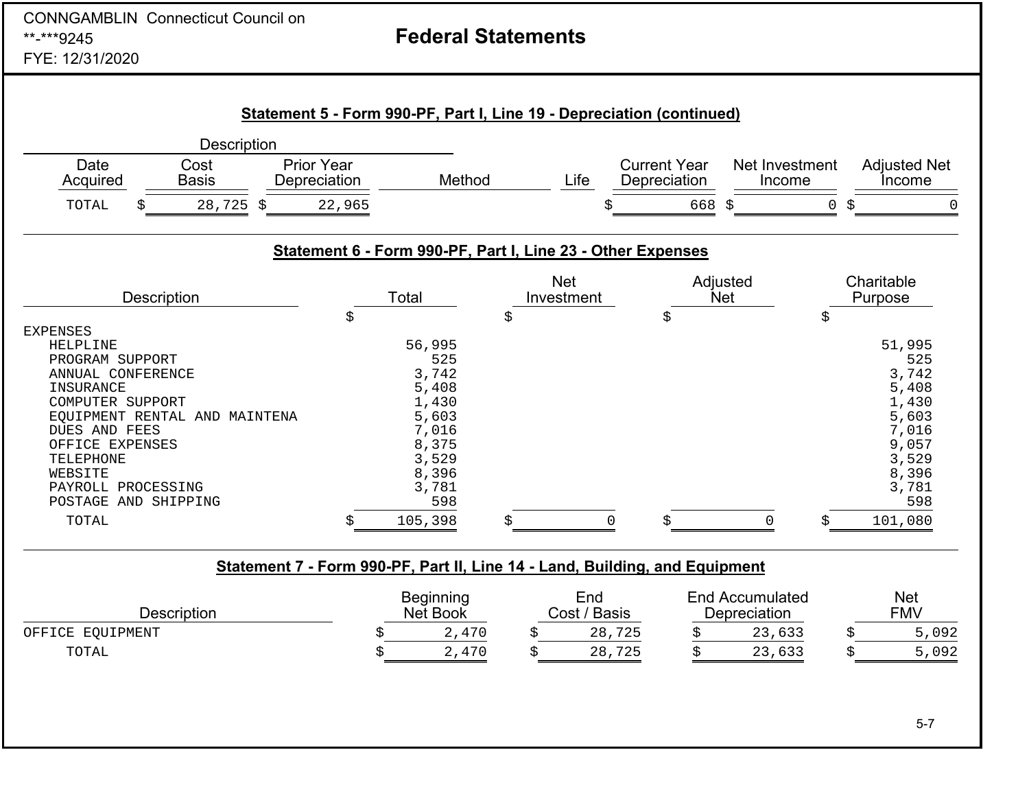| <b>CONNGAMBLIN Connecticut Council on</b><br>**-***9245<br>FYE: 12/31/2020                                                                                                                                                                               |                                                                                                                              | <b>Federal Statements</b> |                                               |                                                                                                                              |
|----------------------------------------------------------------------------------------------------------------------------------------------------------------------------------------------------------------------------------------------------------|------------------------------------------------------------------------------------------------------------------------------|---------------------------|-----------------------------------------------|------------------------------------------------------------------------------------------------------------------------------|
|                                                                                                                                                                                                                                                          | Statement 5 - Form 990-PF, Part I, Line 19 - Depreciation (continued)                                                        |                           |                                               |                                                                                                                              |
| Description<br>Date<br>Cost<br>Acquired<br><b>Basis</b>                                                                                                                                                                                                  | <b>Prior Year</b><br>Method<br>Depreciation                                                                                  | Life                      | <b>Current Year</b><br>Depreciation<br>Income | Net Investment<br><b>Adjusted Net</b><br><i>Income</i>                                                                       |
| 28,725<br>TOTAL<br>Ŝ.                                                                                                                                                                                                                                    | 22,965                                                                                                                       |                           | 668<br>Š.<br>Ś                                | $\mathsf{O}\xspace$<br>\$<br>$\Omega$                                                                                        |
|                                                                                                                                                                                                                                                          | Statement 6 - Form 990-PF, Part I, Line 23 - Other Expenses                                                                  |                           |                                               |                                                                                                                              |
| Description                                                                                                                                                                                                                                              | Total                                                                                                                        | <b>Net</b><br>Investment  | Adjusted<br><b>Net</b>                        | Charitable<br>Purpose                                                                                                        |
| <b>EXPENSES</b><br>HELPLINE<br>PROGRAM SUPPORT<br>ANNUAL CONFERENCE<br>INSURANCE<br>COMPUTER SUPPORT<br>EQUIPMENT RENTAL AND MAINTENA<br>DUES AND FEES<br>OFFICE EXPENSES<br>TELEPHONE<br>WEBSITE<br>PAYROLL PROCESSING<br>POSTAGE AND SHIPPING<br>TOTAL | \$<br>56,995<br>525<br>3,742<br>5,408<br>1,430<br>5,603<br>7,016<br>8,375<br>3,529<br>8,396<br>3,781<br>598<br>105,398<br>Ś. | \$<br>\$                  | \$<br>$\overline{0}$<br>$\Omega$<br>Ś         | \$<br>51,995<br>525<br>3,742<br>5,408<br>1,430<br>5,603<br>7,016<br>9,057<br>3,529<br>8,396<br>3,781<br>598<br>101,080<br>Š. |
|                                                                                                                                                                                                                                                          | Statement 7 - Form 990-PF, Part II, Line 14 - Land, Building, and Equipment                                                  |                           |                                               |                                                                                                                              |
| Description                                                                                                                                                                                                                                              | <b>Beginning</b><br>Net Book                                                                                                 | End<br>Cost / Basis       | <b>End Accumulated</b><br>Depreciation        | <b>Net</b><br><b>FMV</b>                                                                                                     |

| OFFICE EQUIPMENT |  | $\cdot$ $\sim$ $\sim$<br>476 |  | $\Gamma$ $\cap$ $\Gamma$<br>28<br>745 |  | $ -$<br><b>^^</b><br>- ك 6 . |  | .092 |
|------------------|--|------------------------------|--|---------------------------------------|--|------------------------------|--|------|
|------------------|--|------------------------------|--|---------------------------------------|--|------------------------------|--|------|

TOTAL \$ 2,470 \$ 28,725 \$ 23,633 \$ 5,092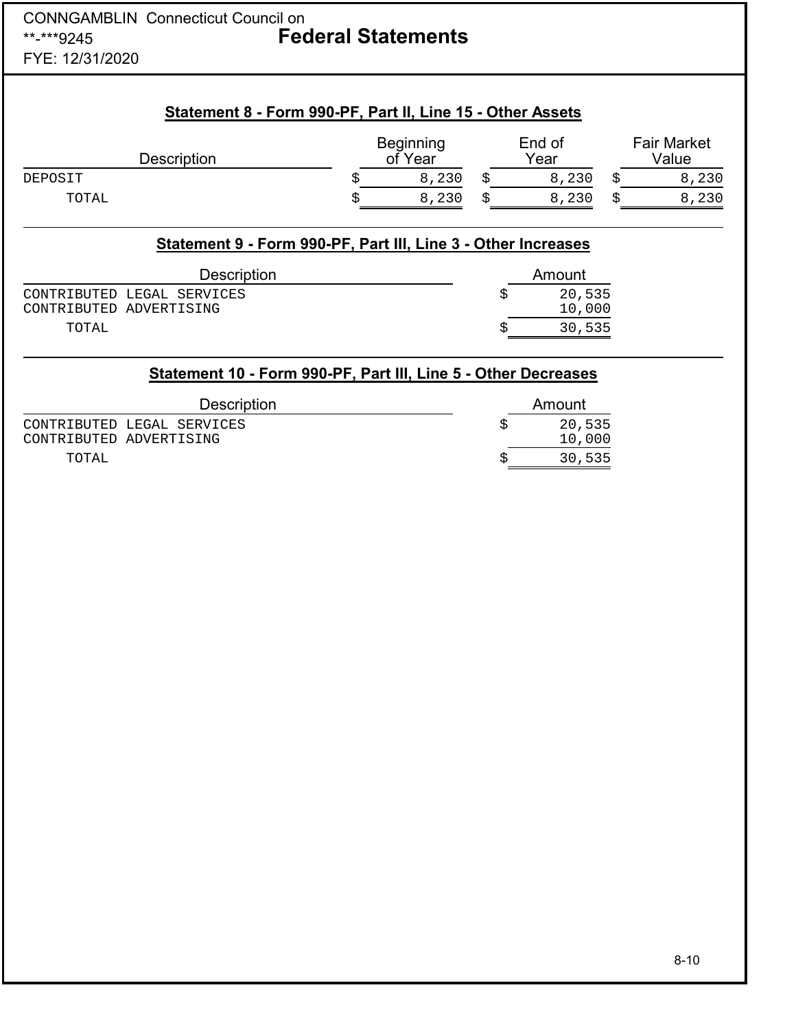### CONNGAMBLIN Connecticut Council on \*\*-\*\*\*9245 **Federal Statements** FYE: 12/31/2020

| <b>Description</b>                                                     |    | <b>Beginning</b><br>of Year | End of<br>Year |   | <b>Fair Market</b><br>Value |
|------------------------------------------------------------------------|----|-----------------------------|----------------|---|-----------------------------|
| DEPOSIT                                                                | \$ | 8,230                       | \$<br>8,230    | Ŝ | 8,230                       |
|                                                                        |    | 8,230                       | \$<br>8,230    | Ś | 8,230                       |
| TOTAL<br>Statement 9 - Form 990-PF, Part III, Line 3 - Other Increases | Ś  |                             |                |   |                             |
| <b>Description</b>                                                     |    |                             | Amount         |   |                             |
| LEGAL SERVICES                                                         |    |                             | \$<br>20,535   |   |                             |
| CONTRIBUTED<br>CONTRIBUTED<br>ADVERTISING                              |    |                             | 10,000         |   |                             |

| <b>Description</b>         | Amount |
|----------------------------|--------|
| CONTRIBUTED LEGAL SERVICES | 20,535 |
| CONTRIBUTED ADVERTISING    | 10,000 |
| TOTAL                      | 30,535 |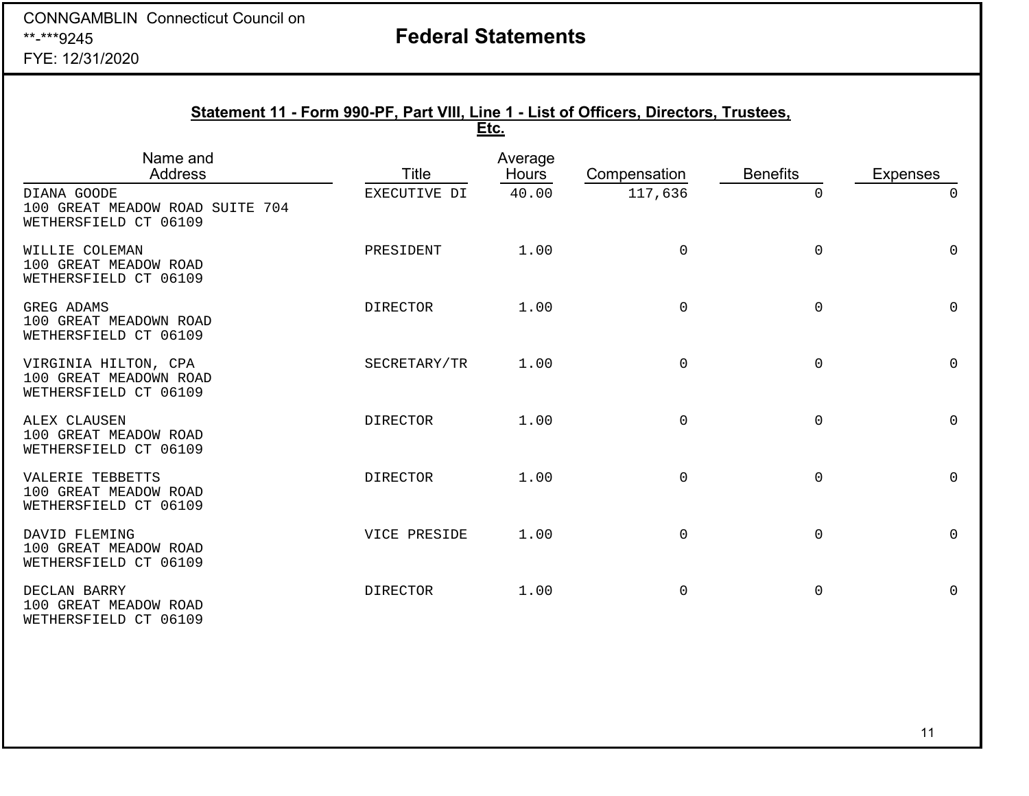# **Federal Statements**

FYE: 12/31/2020

|                                                                         | Statement 11 - Form 990-PF, Part VIII, Line 1 - List of Officers, Directors, Trustees, | Etc.                    |                     |                     |                 |
|-------------------------------------------------------------------------|----------------------------------------------------------------------------------------|-------------------------|---------------------|---------------------|-----------------|
| Name and<br><b>Address</b>                                              | Title                                                                                  | Average<br><b>Hours</b> | Compensation        | <b>Benefits</b>     | <b>Expenses</b> |
| DIANA GOODE<br>100 GREAT MEADOW ROAD SUITE 704<br>WETHERSFIELD CT 06109 | EXECUTIVE DI                                                                           | 40.00                   | 117,636             | 0                   | $\Omega$        |
| WILLIE COLEMAN<br>100 GREAT MEADOW ROAD<br>WETHERSFIELD CT 06109        | PRESIDENT                                                                              | 1.00                    | $\mathbf 0$         | 0                   | $\Omega$        |
| GREG ADAMS<br>100 GREAT MEADOWN ROAD<br>WETHERSFIELD CT 06109           | <b>DIRECTOR</b>                                                                        | 1.00                    | $\mathsf 0$         | $\mathsf{O}\xspace$ | $\Omega$        |
| VIRGINIA HILTON, CPA<br>100 GREAT MEADOWN ROAD<br>WETHERSFIELD CT 06109 | SECRETARY/TR                                                                           | 1.00                    | $\mathsf 0$         | $\mathsf{O}\xspace$ | $\mathsf{O}$    |
| ALEX CLAUSEN<br>100 GREAT MEADOW ROAD<br>WETHERSFIELD CT 06109          | <b>DIRECTOR</b>                                                                        | 1.00                    | $\mathsf 0$         | $\mathbf 0$         | $\Omega$        |
| VALERIE TEBBETTS<br>100 GREAT MEADOW ROAD<br>WETHERSFIELD CT 06109      | <b>DIRECTOR</b>                                                                        | 1.00                    | $\mathsf{O}\xspace$ | $\mathsf{O}\xspace$ | $\mathsf{O}$    |
| DAVID FLEMING<br>100 GREAT MEADOW ROAD<br>WETHERSFIELD CT 06109         | VICE PRESIDE                                                                           | 1.00                    | $\mathsf{O}\xspace$ | $\mathsf{O}\xspace$ | $\mathsf{O}$    |
| DECLAN BARRY<br>100 GREAT MEADOW ROAD<br>WETHERSFIELD CT 06109          | <b>DIRECTOR</b>                                                                        | 1.00                    | 0                   | $\mathsf{O}\xspace$ | $\mathsf{O}$    |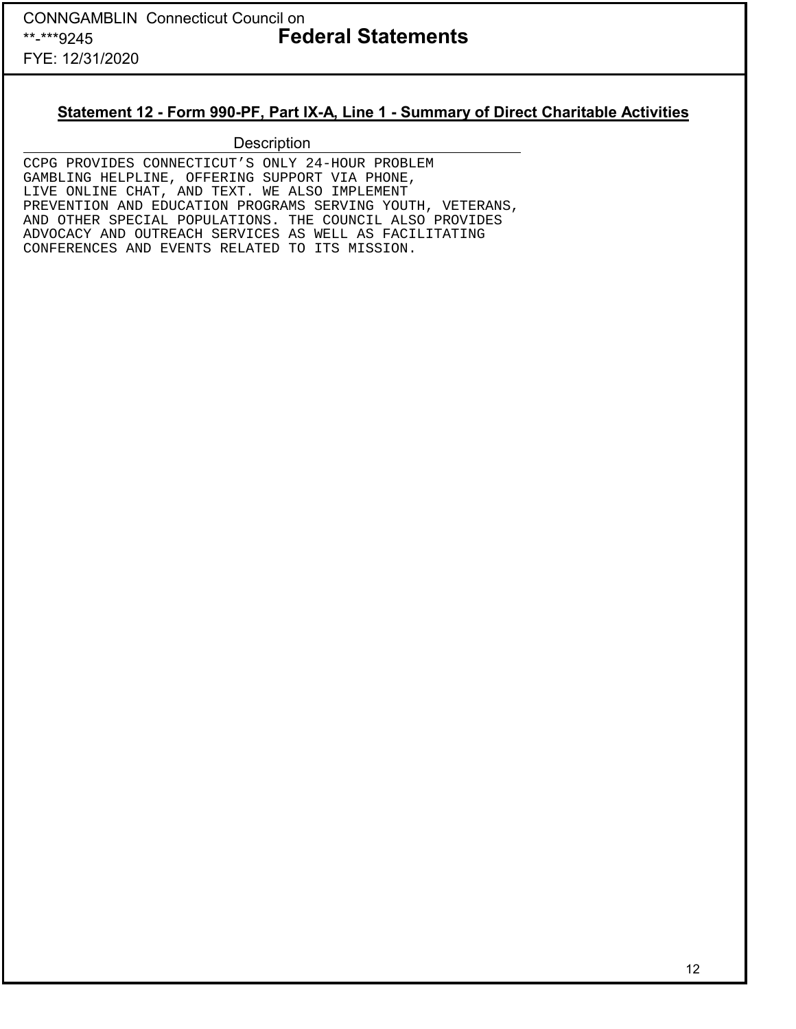### **Statement 12 - Form 990-PF, Part IX-A, Line 1 - Summary of Direct Charitable Activities**

### **Description**

CCPG PROVIDES CONNECTICUT'S ONLY 24-HOUR PROBLEM GAMBLING HELPLINE, OFFERING SUPPORT VIA PHONE, LIVE ONLINE CHAT, AND TEXT. WE ALSO IMPLEMENT PREVENTION AND EDUCATION PROGRAMS SERVING YOUTH, VETERANS, AND OTHER SPECIAL POPULATIONS. THE COUNCIL ALSO PROVIDES ADVOCACY AND OUTREACH SERVICES AS WELL AS FACILITATING CONFERENCES AND EVENTS RELATED TO ITS MISSION.